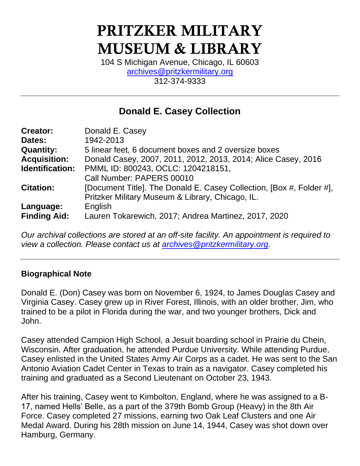# PRITZKER MILITARY MUSEUM & LIBRARY

104 S Michigan Avenue, Chicago, IL 60603 [archives@pritzkermilitary.org](mailto:archives@pritzkermilitary.org) 312-374-9333

### **Donald E. Casey Collection**

| <b>Creator:</b>     | Donald E. Casey                                                      |
|---------------------|----------------------------------------------------------------------|
| Dates:              | 1942-2013                                                            |
| <b>Quantity:</b>    | 5 linear feet, 6 document boxes and 2 oversize boxes                 |
| <b>Acquisition:</b> | Donald Casey, 2007, 2011, 2012, 2013, 2014; Alice Casey, 2016        |
| Identification:     | PMML ID: 800243, OCLC: 1204218151,                                   |
|                     | Call Number: PAPERS 00010                                            |
| <b>Citation:</b>    | [Document Title]. The Donald E. Casey Collection, [Box #, Folder #], |
|                     | Pritzker Military Museum & Library, Chicago, IL.                     |
| Language:           | English                                                              |
| <b>Finding Aid:</b> | Lauren Tokarewich, 2017; Andrea Martinez, 2017, 2020                 |

*Our archival collections are stored at an off-site facility. An appointment is required to view a collection. Please contact us at [archives@pritzkermilitary.org.](mailto:archives@pritzkermilitary.org)*

#### **Biographical Note**

Donald E. (Don) Casey was born on November 6, 1924, to James Douglas Casey and Virginia Casey. Casey grew up in River Forest, Illinois, with an older brother, Jim, who trained to be a pilot in Florida during the war, and two younger brothers, Dick and John.

Casey attended Campion High School, a Jesuit boarding school in Prairie du Chein, Wisconsin. After graduation, he attended Purdue University. While attending Purdue, Casey enlisted in the United States Army Air Corps as a cadet. He was sent to the San Antonio Aviation Cadet Center in Texas to train as a navigator. Casey completed his training and graduated as a Second Lieutenant on October 23, 1943.

After his training, Casey went to Kimbolton, England, where he was assigned to a B-17, named Hells' Belle, as a part of the 379th Bomb Group (Heavy) in the 8th Air Force. Casey completed 27 missions, earning two Oak Leaf Clusters and one Air Medal Award. During his 28th mission on June 14, 1944, Casey was shot down over Hamburg, Germany.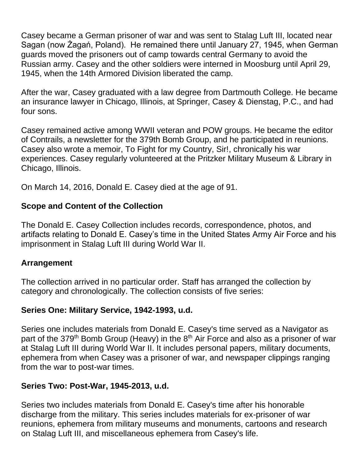Casey became a German prisoner of war and was sent to Stalag Luft III, located near Sagan (now Żagań, Poland). He remained there until January 27, 1945, when German guards moved the prisoners out of camp towards central Germany to avoid the Russian army. Casey and the other soldiers were interned in Moosburg until April 29, 1945, when the 14th Armored Division liberated the camp.

After the war, Casey graduated with a law degree from Dartmouth College. He became an insurance lawyer in Chicago, Illinois, at Springer, Casey & Dienstag, P.C., and had four sons.

Casey remained active among WWII veteran and POW groups. He became the editor of Contrails, a newsletter for the 379th Bomb Group, and he participated in reunions. Casey also wrote a memoir, To Fight for my Country, Sir!, chronically his war experiences. Casey regularly volunteered at the Pritzker Military Museum & Library in Chicago, Illinois.

On March 14, 2016, Donald E. Casey died at the age of 91.

#### **Scope and Content of the Collection**

The Donald E. Casey Collection includes records, correspondence, photos, and artifacts relating to Donald E. Casey's time in the United States Army Air Force and his imprisonment in Stalag Luft III during World War II.

#### **Arrangement**

The collection arrived in no particular order. Staff has arranged the collection by category and chronologically. The collection consists of five series:

#### **Series One: Military Service, 1942-1993, u.d.**

Series one includes materials from Donald E. Casey's time served as a Navigator as part of the 379<sup>th</sup> Bomb Group (Heavy) in the  $8<sup>th</sup>$  Air Force and also as a prisoner of war at Stalag Luft III during World War II. It includes personal papers, military documents, ephemera from when Casey was a prisoner of war, and newspaper clippings ranging from the war to post-war times.

#### **Series Two: Post-War, 1945-2013, u.d.**

Series two includes materials from Donald E. Casey's time after his honorable discharge from the military. This series includes materials for ex-prisoner of war reunions, ephemera from military museums and monuments, cartoons and research on Stalag Luft III, and miscellaneous ephemera from Casey's life.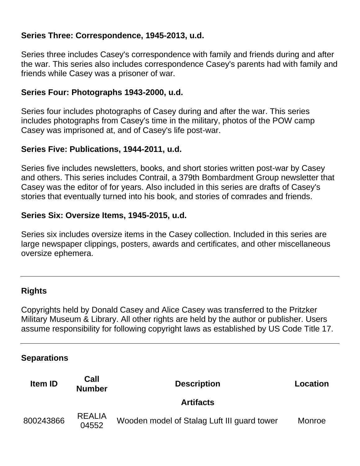#### **Series Three: Correspondence, 1945-2013, u.d.**

Series three includes Casey's correspondence with family and friends during and after the war. This series also includes correspondence Casey's parents had with family and friends while Casey was a prisoner of war.

#### **Series Four: Photographs 1943-2000, u.d.**

Series four includes photographs of Casey during and after the war. This series includes photographs from Casey's time in the military, photos of the POW camp Casey was imprisoned at, and of Casey's life post-war.

#### **Series Five: Publications, 1944-2011, u.d.**

Series five includes newsletters, books, and short stories written post-war by Casey and others. This series includes Contrail, a 379th Bombardment Group newsletter that Casey was the editor of for years. Also included in this series are drafts of Casey's stories that eventually turned into his book, and stories of comrades and friends.

#### **Series Six: Oversize Items, 1945-2015, u.d.**

Series six includes oversize items in the Casey collection. Included in this series are large newspaper clippings, posters, awards and certificates, and other miscellaneous oversize ephemera.

#### **Rights**

Copyrights held by Donald Casey and Alice Casey was transferred to the Pritzker Military Museum & Library. All other rights are held by the author or publisher. Users assume responsibility for following copyright laws as established by US Code Title 17.

#### **Separations**

| <b>Item ID</b> | Call<br><b>Number</b>  | <b>Description</b>                          | Location |
|----------------|------------------------|---------------------------------------------|----------|
|                |                        | <b>Artifacts</b>                            |          |
| 800243866      | <b>REALIA</b><br>04552 | Wooden model of Stalag Luft III guard tower | Monroe   |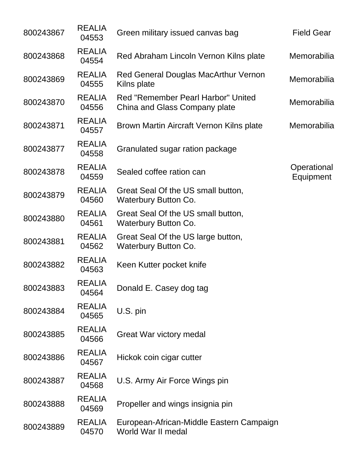| 800243867 | <b>REALIA</b><br>04553 | Green military issued canvas bag                                    | <b>Field Gear</b>        |
|-----------|------------------------|---------------------------------------------------------------------|--------------------------|
| 800243868 | <b>REALIA</b><br>04554 | Red Abraham Lincoln Vernon Kilns plate                              | Memorabilia              |
| 800243869 | <b>REALIA</b><br>04555 | Red General Douglas MacArthur Vernon<br>Kilns plate                 | Memorabilia              |
| 800243870 | <b>REALIA</b><br>04556 | Red "Remember Pearl Harbor" United<br>China and Glass Company plate | Memorabilia              |
| 800243871 | <b>REALIA</b><br>04557 | Brown Martin Aircraft Vernon Kilns plate                            | Memorabilia              |
| 800243877 | <b>REALIA</b><br>04558 | Granulated sugar ration package                                     |                          |
| 800243878 | <b>REALIA</b><br>04559 | Sealed coffee ration can                                            | Operational<br>Equipment |
| 800243879 | <b>REALIA</b><br>04560 | Great Seal Of the US small button,<br><b>Waterbury Button Co.</b>   |                          |
| 800243880 | <b>REALIA</b><br>04561 | Great Seal Of the US small button,<br><b>Waterbury Button Co.</b>   |                          |
| 800243881 | <b>REALIA</b><br>04562 | Great Seal Of the US large button,<br><b>Waterbury Button Co.</b>   |                          |
| 800243882 | <b>REALIA</b><br>04563 | Keen Kutter pocket knife                                            |                          |
| 800243883 | <b>REALIA</b><br>04564 | Donald E. Casey dog tag                                             |                          |
| 800243884 | <b>REALIA</b><br>04565 | U.S. pin                                                            |                          |
| 800243885 | <b>REALIA</b><br>04566 | <b>Great War victory medal</b>                                      |                          |
| 800243886 | <b>REALIA</b><br>04567 | Hickok coin cigar cutter                                            |                          |
| 800243887 | <b>REALIA</b><br>04568 | U.S. Army Air Force Wings pin                                       |                          |
| 800243888 | <b>REALIA</b><br>04569 | Propeller and wings insignia pin                                    |                          |
| 800243889 | <b>REALIA</b><br>04570 | European-African-Middle Eastern Campaign<br>World War II medal      |                          |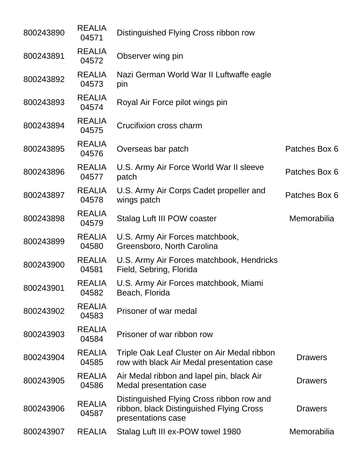| 800243890 | <b>REALIA</b><br>04571 | Distinguished Flying Cross ribbon row                                                                       |                |
|-----------|------------------------|-------------------------------------------------------------------------------------------------------------|----------------|
| 800243891 | <b>REALIA</b><br>04572 | Observer wing pin                                                                                           |                |
| 800243892 | <b>REALIA</b><br>04573 | Nazi German World War II Luftwaffe eagle<br>pin                                                             |                |
| 800243893 | <b>REALIA</b><br>04574 | Royal Air Force pilot wings pin                                                                             |                |
| 800243894 | <b>REALIA</b><br>04575 | Crucifixion cross charm                                                                                     |                |
| 800243895 | <b>REALIA</b><br>04576 | Overseas bar patch                                                                                          | Patches Box 6  |
| 800243896 | <b>REALIA</b><br>04577 | U.S. Army Air Force World War II sleeve<br>patch                                                            | Patches Box 6  |
| 800243897 | <b>REALIA</b><br>04578 | U.S. Army Air Corps Cadet propeller and<br>wings patch                                                      | Patches Box 6  |
| 800243898 | <b>REALIA</b><br>04579 | Stalag Luft III POW coaster                                                                                 | Memorabilia    |
| 800243899 | <b>REALIA</b><br>04580 | U.S. Army Air Forces matchbook,<br>Greensboro, North Carolina                                               |                |
| 800243900 | <b>REALIA</b><br>04581 | U.S. Army Air Forces matchbook, Hendricks<br>Field, Sebring, Florida                                        |                |
| 800243901 | <b>REALIA</b><br>04582 | U.S. Army Air Forces matchbook, Miami<br>Beach, Florida                                                     |                |
| 800243902 | <b>REALIA</b><br>04583 | Prisoner of war medal                                                                                       |                |
| 800243903 | <b>REALIA</b><br>04584 | Prisoner of war ribbon row                                                                                  |                |
| 800243904 | <b>REALIA</b><br>04585 | Triple Oak Leaf Cluster on Air Medal ribbon<br>row with black Air Medal presentation case                   | <b>Drawers</b> |
| 800243905 | <b>REALIA</b><br>04586 | Air Medal ribbon and lapel pin, black Air<br>Medal presentation case                                        | <b>Drawers</b> |
| 800243906 | <b>REALIA</b><br>04587 | Distinguished Flying Cross ribbon row and<br>ribbon, black Distinguished Flying Cross<br>presentations case | <b>Drawers</b> |
| 800243907 | <b>REALIA</b>          | Stalag Luft III ex-POW towel 1980                                                                           | Memorabilia    |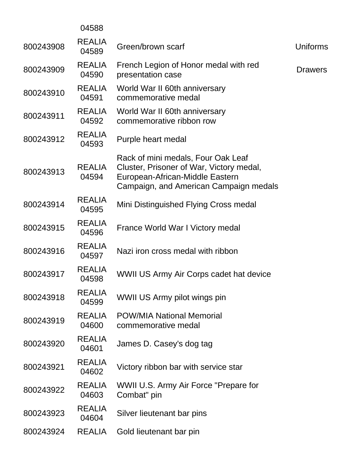|           | 04588                  |                                                                                                                                                             |                 |
|-----------|------------------------|-------------------------------------------------------------------------------------------------------------------------------------------------------------|-----------------|
| 800243908 | <b>REALIA</b><br>04589 | Green/brown scarf                                                                                                                                           | <b>Uniforms</b> |
| 800243909 | <b>REALIA</b><br>04590 | French Legion of Honor medal with red<br>presentation case                                                                                                  | <b>Drawers</b>  |
| 800243910 | <b>REALIA</b><br>04591 | World War II 60th anniversary<br>commemorative medal                                                                                                        |                 |
| 800243911 | <b>REALIA</b><br>04592 | World War II 60th anniversary<br>commemorative ribbon row                                                                                                   |                 |
| 800243912 | <b>REALIA</b><br>04593 | Purple heart medal                                                                                                                                          |                 |
| 800243913 | <b>REALIA</b><br>04594 | Rack of mini medals, Four Oak Leaf<br>Cluster, Prisoner of War, Victory medal,<br>European-African-Middle Eastern<br>Campaign, and American Campaign medals |                 |
| 800243914 | <b>REALIA</b><br>04595 | Mini Distinguished Flying Cross medal                                                                                                                       |                 |
| 800243915 | <b>REALIA</b><br>04596 | France World War I Victory medal                                                                                                                            |                 |
| 800243916 | <b>REALIA</b><br>04597 | Nazi iron cross medal with ribbon                                                                                                                           |                 |
| 800243917 | <b>REALIA</b><br>04598 | WWII US Army Air Corps cadet hat device                                                                                                                     |                 |
| 800243918 | <b>REALIA</b><br>04599 | WWII US Army pilot wings pin                                                                                                                                |                 |
| 800243919 | <b>REALIA</b><br>04600 | <b>POW/MIA National Memorial</b><br>commemorative medal                                                                                                     |                 |
| 800243920 | <b>REALIA</b><br>04601 | James D. Casey's dog tag                                                                                                                                    |                 |
| 800243921 | <b>REALIA</b><br>04602 | Victory ribbon bar with service star                                                                                                                        |                 |
| 800243922 | <b>REALIA</b><br>04603 | WWII U.S. Army Air Force "Prepare for<br>Combat" pin                                                                                                        |                 |
| 800243923 | <b>REALIA</b><br>04604 | Silver lieutenant bar pins                                                                                                                                  |                 |
| 800243924 | <b>REALIA</b>          | Gold lieutenant bar pin                                                                                                                                     |                 |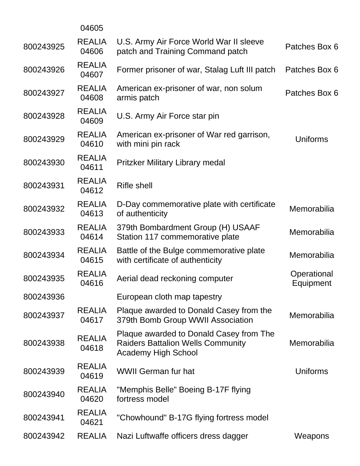|           | 04605                  |                                                                                                                   |                          |
|-----------|------------------------|-------------------------------------------------------------------------------------------------------------------|--------------------------|
| 800243925 | <b>REALIA</b><br>04606 | U.S. Army Air Force World War II sleeve<br>patch and Training Command patch                                       | Patches Box 6            |
| 800243926 | <b>REALIA</b><br>04607 | Former prisoner of war, Stalag Luft III patch                                                                     | Patches Box 6            |
| 800243927 | <b>REALIA</b><br>04608 | American ex-prisoner of war, non solum<br>armis patch                                                             | Patches Box 6            |
| 800243928 | <b>REALIA</b><br>04609 | U.S. Army Air Force star pin                                                                                      |                          |
| 800243929 | <b>REALIA</b><br>04610 | American ex-prisoner of War red garrison,<br>with mini pin rack                                                   | Uniforms                 |
| 800243930 | <b>REALIA</b><br>04611 | Pritzker Military Library medal                                                                                   |                          |
| 800243931 | <b>REALIA</b><br>04612 | <b>Rifle shell</b>                                                                                                |                          |
| 800243932 | <b>REALIA</b><br>04613 | D-Day commemorative plate with certificate<br>of authenticity                                                     | Memorabilia              |
| 800243933 | <b>REALIA</b><br>04614 | 379th Bombardment Group (H) USAAF<br>Station 117 commemorative plate                                              | Memorabilia              |
| 800243934 | <b>REALIA</b><br>04615 | Battle of the Bulge commemorative plate<br>with certificate of authenticity                                       | Memorabilia              |
| 800243935 | <b>REALIA</b><br>04616 | Aerial dead reckoning computer                                                                                    | Operational<br>Equipment |
| 800243936 |                        | European cloth map tapestry                                                                                       |                          |
| 800243937 | <b>REALIA</b><br>04617 | Plaque awarded to Donald Casey from the<br>379th Bomb Group WWII Association                                      | Memorabilia              |
| 800243938 | <b>REALIA</b><br>04618 | Plaque awarded to Donald Casey from The<br><b>Raiders Battalion Wells Community</b><br><b>Academy High School</b> | Memorabilia              |
| 800243939 | <b>REALIA</b><br>04619 | <b>WWII German fur hat</b>                                                                                        | Uniforms                 |
| 800243940 | <b>REALIA</b><br>04620 | "Memphis Belle" Boeing B-17F flying<br>fortress model                                                             |                          |
| 800243941 | <b>REALIA</b><br>04621 | "Chowhound" B-17G flying fortress model                                                                           |                          |
| 800243942 | <b>REALIA</b>          | Nazi Luftwaffe officers dress dagger                                                                              | Weapons                  |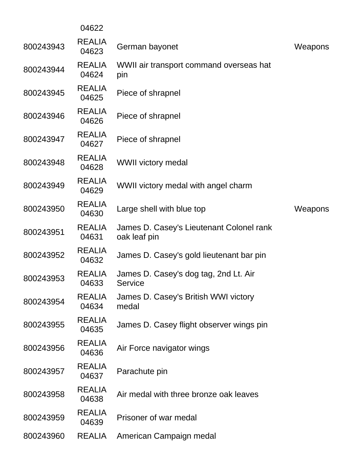|           | 04622                  |                                                          |         |
|-----------|------------------------|----------------------------------------------------------|---------|
| 800243943 | <b>REALIA</b><br>04623 | German bayonet                                           | Weapons |
| 800243944 | <b>REALIA</b><br>04624 | WWII air transport command overseas hat<br>pin           |         |
| 800243945 | <b>REALIA</b><br>04625 | Piece of shrapnel                                        |         |
| 800243946 | <b>REALIA</b><br>04626 | Piece of shrapnel                                        |         |
| 800243947 | <b>REALIA</b><br>04627 | Piece of shrapnel                                        |         |
| 800243948 | <b>REALIA</b><br>04628 | <b>WWII victory medal</b>                                |         |
| 800243949 | <b>REALIA</b><br>04629 | WWII victory medal with angel charm                      |         |
| 800243950 | <b>REALIA</b><br>04630 | Large shell with blue top                                | Weapons |
| 800243951 | <b>REALIA</b><br>04631 | James D. Casey's Lieutenant Colonel rank<br>oak leaf pin |         |
| 800243952 | <b>REALIA</b><br>04632 | James D. Casey's gold lieutenant bar pin                 |         |
| 800243953 | <b>REALIA</b><br>04633 | James D. Casey's dog tag, 2nd Lt. Air<br><b>Service</b>  |         |
| 800243954 | <b>REALIA</b><br>04634 | James D. Casey's British WWI victory<br>medal            |         |
| 800243955 | <b>REALIA</b><br>04635 | James D. Casey flight observer wings pin                 |         |
| 800243956 | <b>REALIA</b><br>04636 | Air Force navigator wings                                |         |
| 800243957 | <b>REALIA</b><br>04637 | Parachute pin                                            |         |
| 800243958 | <b>REALIA</b><br>04638 | Air medal with three bronze oak leaves                   |         |
| 800243959 | <b>REALIA</b><br>04639 | Prisoner of war medal                                    |         |
| 800243960 | <b>REALIA</b>          | American Campaign medal                                  |         |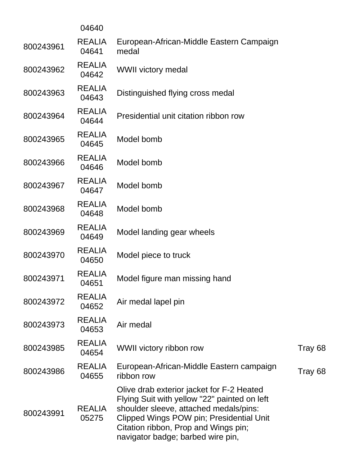|           | 04640                  |                                                                                                                                                                                                                                                              |         |
|-----------|------------------------|--------------------------------------------------------------------------------------------------------------------------------------------------------------------------------------------------------------------------------------------------------------|---------|
| 800243961 | <b>REALIA</b><br>04641 | European-African-Middle Eastern Campaign<br>medal                                                                                                                                                                                                            |         |
| 800243962 | <b>REALIA</b><br>04642 | <b>WWII victory medal</b>                                                                                                                                                                                                                                    |         |
| 800243963 | <b>REALIA</b><br>04643 | Distinguished flying cross medal                                                                                                                                                                                                                             |         |
| 800243964 | <b>REALIA</b><br>04644 | Presidential unit citation ribbon row                                                                                                                                                                                                                        |         |
| 800243965 | <b>REALIA</b><br>04645 | Model bomb                                                                                                                                                                                                                                                   |         |
| 800243966 | <b>REALIA</b><br>04646 | Model bomb                                                                                                                                                                                                                                                   |         |
| 800243967 | <b>REALIA</b><br>04647 | Model bomb                                                                                                                                                                                                                                                   |         |
| 800243968 | <b>REALIA</b><br>04648 | Model bomb                                                                                                                                                                                                                                                   |         |
| 800243969 | <b>REALIA</b><br>04649 | Model landing gear wheels                                                                                                                                                                                                                                    |         |
| 800243970 | <b>REALIA</b><br>04650 | Model piece to truck                                                                                                                                                                                                                                         |         |
| 800243971 | <b>REALIA</b><br>04651 | Model figure man missing hand                                                                                                                                                                                                                                |         |
| 800243972 | <b>REALIA</b><br>04652 | Air medal lapel pin                                                                                                                                                                                                                                          |         |
| 800243973 | <b>REALIA</b><br>04653 | Air medal                                                                                                                                                                                                                                                    |         |
| 800243985 | <b>REALIA</b><br>04654 | WWII victory ribbon row                                                                                                                                                                                                                                      | Tray 68 |
| 800243986 | <b>REALIA</b><br>04655 | European-African-Middle Eastern campaign<br>ribbon row                                                                                                                                                                                                       | Tray 68 |
| 800243991 | <b>REALIA</b><br>05275 | Olive drab exterior jacket for F-2 Heated<br>Flying Suit with yellow "22" painted on left<br>shoulder sleeve, attached medals/pins:<br>Clipped Wings POW pin; Presidential Unit<br>Citation ribbon, Prop and Wings pin;<br>navigator badge; barbed wire pin, |         |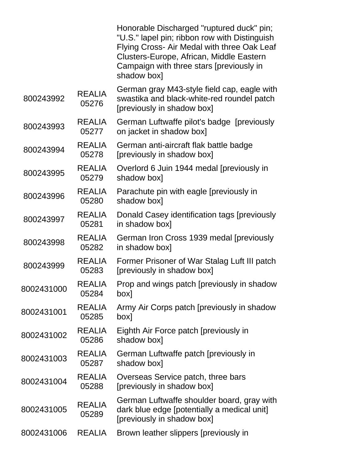|            |                        | Honorable Discharged "ruptured duck" pin;<br>"U.S." lapel pin; ribbon row with Distinguish<br>Flying Cross- Air Medal with three Oak Leaf<br>Clusters-Europe, African, Middle Eastern<br>Campaign with three stars [previously in<br>shadow box] |
|------------|------------------------|--------------------------------------------------------------------------------------------------------------------------------------------------------------------------------------------------------------------------------------------------|
| 800243992  | <b>REALIA</b><br>05276 | German gray M43-style field cap, eagle with<br>swastika and black-white-red roundel patch<br>[previously in shadow box]                                                                                                                          |
| 800243993  | <b>REALIA</b><br>05277 | German Luftwaffe pilot's badge [previously<br>on jacket in shadow box]                                                                                                                                                                           |
| 800243994  | <b>REALIA</b><br>05278 | German anti-aircraft flak battle badge<br>[previously in shadow box]                                                                                                                                                                             |
| 800243995  | <b>REALIA</b><br>05279 | Overlord 6 Juin 1944 medal [previously in<br>shadow box]                                                                                                                                                                                         |
| 800243996  | <b>REALIA</b><br>05280 | Parachute pin with eagle [previously in<br>shadow box                                                                                                                                                                                            |
| 800243997  | <b>REALIA</b><br>05281 | Donald Casey identification tags [previously<br>in shadow box]                                                                                                                                                                                   |
| 800243998  | <b>REALIA</b><br>05282 | German Iron Cross 1939 medal [previously<br>in shadow box]                                                                                                                                                                                       |
| 800243999  | <b>REALIA</b><br>05283 | Former Prisoner of War Stalag Luft III patch<br>[previously in shadow box]                                                                                                                                                                       |
| 8002431000 | <b>REALIA</b><br>05284 | Prop and wings patch [previously in shadow<br>box]                                                                                                                                                                                               |
| 8002431001 | <b>REALIA</b><br>05285 | Army Air Corps patch [previously in shadow<br>[xod                                                                                                                                                                                               |
| 8002431002 | <b>REALIA</b><br>05286 | Eighth Air Force patch [previously in<br>shadow box]                                                                                                                                                                                             |
| 8002431003 | <b>REALIA</b><br>05287 | German Luftwaffe patch [previously in<br>shadow box]                                                                                                                                                                                             |
| 8002431004 | <b>REALIA</b><br>05288 | Overseas Service patch, three bars<br>[previously in shadow box]                                                                                                                                                                                 |
| 8002431005 | <b>REALIA</b><br>05289 | German Luftwaffe shoulder board, gray with<br>dark blue edge [potentially a medical unit]<br>[previously in shadow box]                                                                                                                          |
| 8002431006 | <b>REALIA</b>          | Brown leather slippers [previously in                                                                                                                                                                                                            |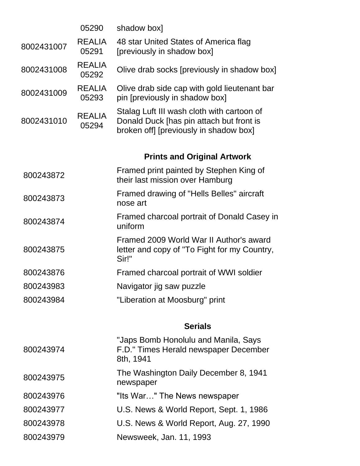| 48 star United States of America flag<br>[previously in shadow box]                                                              |
|----------------------------------------------------------------------------------------------------------------------------------|
| Olive drab socks [previously in shadow box]                                                                                      |
| Olive drab side cap with gold lieutenant bar<br>pin [previously in shadow box]                                                   |
| Stalag Luft III wash cloth with cartoon of<br>Donald Duck [has pin attach but front is<br>broken off] [previously in shadow box] |
| <b>Prints and Original Artwork</b>                                                                                               |
| Framed print painted by Stephen King of<br>their last mission over Hamburg                                                       |
| Framed drawing of "Hells Belles" aircraft                                                                                        |
| Framed charcoal portrait of Donald Casey in                                                                                      |
| Framed 2009 World War II Author's award<br>letter and copy of "To Fight for my Country,                                          |
| Framed charcoal portrait of WWI soldier                                                                                          |
| Navigator jig saw puzzle                                                                                                         |
| "Liberation at Moosburg" print                                                                                                   |
| <b>Serials</b>                                                                                                                   |
| "Japs Bomb Honolulu and Manila, Says<br>F.D." Times Herald newspaper December                                                    |
|                                                                                                                                  |
| The Washington Daily December 8, 1941                                                                                            |
| "Its War" The News newspaper                                                                                                     |
| U.S. News & World Report, Sept. 1, 1986                                                                                          |
| U.S. News & World Report, Aug. 27, 1990                                                                                          |
|                                                                                                                                  |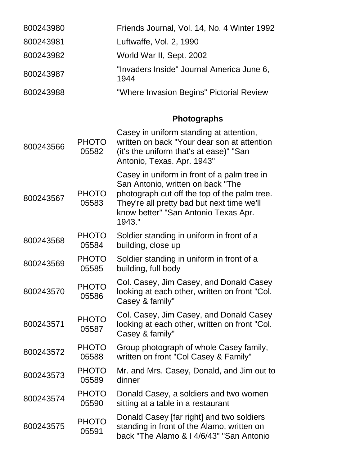| 800243980 | Friends Journal, Vol. 14, No. 4 Winter 1992       |
|-----------|---------------------------------------------------|
| 800243981 | Luftwaffe, Vol. 2, 1990                           |
| 800243982 | World War II, Sept. 2002                          |
| 800243987 | "Invaders Inside" Journal America June 6,<br>1944 |
| 800243988 | "Where Invasion Begins" Pictorial Review          |

# **Photographs**

| 800243566 | <b>PHOTO</b><br>05582 | Casey in uniform standing at attention,<br>written on back "Your dear son at attention<br>(it's the uniform that's at ease)" "San<br>Antonio, Texas. Apr. 1943"                                                                  |
|-----------|-----------------------|----------------------------------------------------------------------------------------------------------------------------------------------------------------------------------------------------------------------------------|
| 800243567 | <b>PHOTO</b><br>05583 | Casey in uniform in front of a palm tree in<br>San Antonio, written on back "The<br>photograph cut off the top of the palm tree.<br>They're all pretty bad but next time we'll<br>know better" "San Antonio Texas Apr.<br>1943." |
| 800243568 | <b>PHOTO</b><br>05584 | Soldier standing in uniform in front of a<br>building, close up                                                                                                                                                                  |
| 800243569 | <b>PHOTO</b><br>05585 | Soldier standing in uniform in front of a<br>building, full body                                                                                                                                                                 |
| 800243570 | <b>PHOTO</b><br>05586 | Col. Casey, Jim Casey, and Donald Casey<br>looking at each other, written on front "Col.<br>Casey & family"                                                                                                                      |
| 800243571 | <b>PHOTO</b><br>05587 | Col. Casey, Jim Casey, and Donald Casey<br>looking at each other, written on front "Col.<br>Casey & family"                                                                                                                      |
| 800243572 | <b>PHOTO</b><br>05588 | Group photograph of whole Casey family,<br>written on front "Col Casey & Family"                                                                                                                                                 |
| 800243573 | <b>PHOTO</b><br>05589 | Mr. and Mrs. Casey, Donald, and Jim out to<br>dinner                                                                                                                                                                             |
| 800243574 | <b>PHOTO</b><br>05590 | Donald Casey, a soldiers and two women<br>sitting at a table in a restaurant                                                                                                                                                     |
| 800243575 | <b>PHOTO</b><br>05591 | Donald Casey [far right] and two soldiers<br>standing in front of the Alamo, written on<br>back "The Alamo & I 4/6/43" "San Antonio                                                                                              |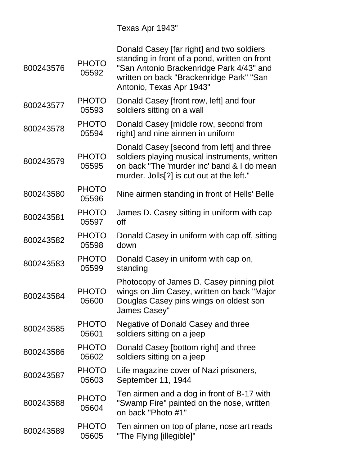Texas Apr 1943"

| <b>PHOTO</b><br>05592 | Donald Casey [far right] and two soldiers<br>standing in front of a pond, written on front<br>"San Antonio Brackenridge Park 4/43" and<br>written on back "Brackenridge Park" "San<br>Antonio, Texas Apr 1943" |
|-----------------------|----------------------------------------------------------------------------------------------------------------------------------------------------------------------------------------------------------------|
| <b>PHOTO</b>          | Donald Casey [front row, left] and four                                                                                                                                                                        |
| 05593                 | soldiers sitting on a wall                                                                                                                                                                                     |
| <b>PHOTO</b>          | Donald Casey [middle row, second from                                                                                                                                                                          |
| 05594                 | right] and nine airmen in uniform                                                                                                                                                                              |
| <b>PHOTO</b><br>05595 | Donald Casey [second from left] and three<br>soldiers playing musical instruments, written<br>on back "The 'murder inc' band & I do mean<br>murder. Jolls[?] is cut out at the left."                          |
| <b>PHOTO</b><br>05596 | Nine airmen standing in front of Hells' Belle                                                                                                                                                                  |
| <b>PHOTO</b>          | James D. Casey sitting in uniform with cap                                                                                                                                                                     |
| 05597                 | off                                                                                                                                                                                                            |
| <b>PHOTO</b>          | Donald Casey in uniform with cap off, sitting                                                                                                                                                                  |
| 05598                 | down                                                                                                                                                                                                           |
| <b>PHOTO</b>          | Donald Casey in uniform with cap on,                                                                                                                                                                           |
| 05599                 | standing                                                                                                                                                                                                       |
| <b>PHOTO</b><br>05600 | Photocopy of James D. Casey pinning pilot<br>wings on Jim Casey, written on back "Major<br>Douglas Casey pins wings on oldest son<br>James Casey"                                                              |
| <b>PHOTO</b>          | Negative of Donald Casey and three                                                                                                                                                                             |
| 05601                 | soldiers sitting on a jeep                                                                                                                                                                                     |
| <b>PHOTO</b>          | Donald Casey [bottom right] and three                                                                                                                                                                          |
| 05602                 | soldiers sitting on a jeep                                                                                                                                                                                     |
| <b>PHOTO</b>          | Life magazine cover of Nazi prisoners,                                                                                                                                                                         |
| 05603                 | September 11, 1944                                                                                                                                                                                             |
| <b>PHOTO</b><br>05604 | Ten airmen and a dog in front of B-17 with<br>"Swamp Fire" painted on the nose, written<br>on back "Photo #1"                                                                                                  |
| <b>PHOTO</b>          | Ten airmen on top of plane, nose art reads                                                                                                                                                                     |
| 05605                 | "The Flying [illegible]"                                                                                                                                                                                       |
|                       |                                                                                                                                                                                                                |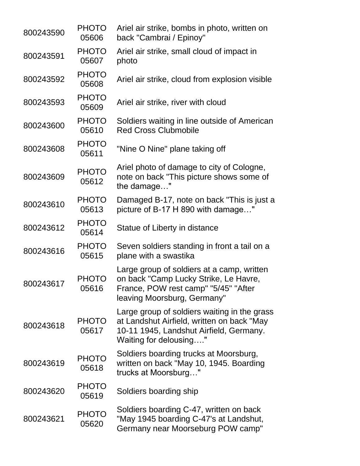| 800243590 | <b>PHOTO</b><br>05606 | Ariel air strike, bombs in photo, written on<br>back "Cambrai / Epinoy"                                                                                         |
|-----------|-----------------------|-----------------------------------------------------------------------------------------------------------------------------------------------------------------|
| 800243591 | <b>PHOTO</b><br>05607 | Ariel air strike, small cloud of impact in<br>photo                                                                                                             |
| 800243592 | <b>PHOTO</b><br>05608 | Ariel air strike, cloud from explosion visible                                                                                                                  |
| 800243593 | <b>PHOTO</b><br>05609 | Ariel air strike, river with cloud                                                                                                                              |
| 800243600 | <b>PHOTO</b><br>05610 | Soldiers waiting in line outside of American<br><b>Red Cross Clubmobile</b>                                                                                     |
| 800243608 | <b>PHOTO</b><br>05611 | "Nine O Nine" plane taking off                                                                                                                                  |
| 800243609 | <b>PHOTO</b><br>05612 | Ariel photo of damage to city of Cologne,<br>note on back "This picture shows some of<br>the damage"                                                            |
| 800243610 | <b>PHOTO</b><br>05613 | Damaged B-17, note on back "This is just a<br>picture of B-17 H 890 with damage"                                                                                |
| 800243612 | <b>PHOTO</b><br>05614 | Statue of Liberty in distance                                                                                                                                   |
| 800243616 | <b>PHOTO</b><br>05615 | Seven soldiers standing in front a tail on a<br>plane with a swastika                                                                                           |
| 800243617 | <b>PHOTO</b><br>05616 | Large group of soldiers at a camp, written<br>on back "Camp Lucky Strike, Le Havre,<br>France, POW rest camp" "5/45" "After<br>leaving Moorsburg, Germany"      |
| 800243618 | <b>PHOTO</b><br>05617 | Large group of soldiers waiting in the grass<br>at Landshut Airfield, written on back "May<br>10-11 1945, Landshut Airfield, Germany.<br>Waiting for delousing" |
| 800243619 | <b>PHOTO</b><br>05618 | Soldiers boarding trucks at Moorsburg,<br>written on back "May 10, 1945. Boarding<br>trucks at Moorsburg"                                                       |
| 800243620 | <b>PHOTO</b><br>05619 | Soldiers boarding ship                                                                                                                                          |
| 800243621 | <b>PHOTO</b><br>05620 | Soldiers boarding C-47, written on back<br>"May 1945 boarding C-47's at Landshut,<br>Germany near Moorseburg POW camp"                                          |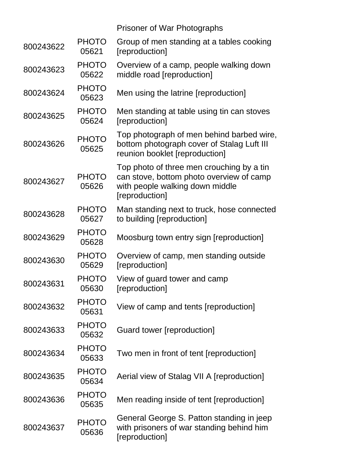|           |                       | <b>Prisoner of War Photographs</b>                                                                                                         |
|-----------|-----------------------|--------------------------------------------------------------------------------------------------------------------------------------------|
| 800243622 | <b>PHOTO</b><br>05621 | Group of men standing at a tables cooking<br>[reproduction]                                                                                |
| 800243623 | <b>PHOTO</b><br>05622 | Overview of a camp, people walking down<br>middle road [reproduction]                                                                      |
| 800243624 | <b>PHOTO</b><br>05623 | Men using the latrine [reproduction]                                                                                                       |
| 800243625 | <b>PHOTO</b><br>05624 | Men standing at table using tin can stoves<br>[reproduction]                                                                               |
| 800243626 | <b>PHOTO</b><br>05625 | Top photograph of men behind barbed wire,<br>bottom photograph cover of Stalag Luft III<br>reunion booklet [reproduction]                  |
| 800243627 | <b>PHOTO</b><br>05626 | Top photo of three men crouching by a tin<br>can stove, bottom photo overview of camp<br>with people walking down middle<br>[reproduction] |
| 800243628 | <b>PHOTO</b><br>05627 | Man standing next to truck, hose connected<br>to building [reproduction]                                                                   |
| 800243629 | <b>PHOTO</b><br>05628 | Moosburg town entry sign [reproduction]                                                                                                    |
| 800243630 | <b>PHOTO</b><br>05629 | Overview of camp, men standing outside<br>[reproduction]                                                                                   |
| 800243631 | <b>PHOTO</b><br>05630 | View of guard tower and camp<br>[reproduction]                                                                                             |
| 800243632 | <b>PHOTO</b><br>05631 | View of camp and tents [reproduction]                                                                                                      |
| 800243633 | <b>PHOTO</b><br>05632 | Guard tower [reproduction]                                                                                                                 |
| 800243634 | <b>PHOTO</b><br>05633 | Two men in front of tent [reproduction]                                                                                                    |
| 800243635 | <b>PHOTO</b><br>05634 | Aerial view of Stalag VII A [reproduction]                                                                                                 |
| 800243636 | <b>PHOTO</b><br>05635 | Men reading inside of tent [reproduction]                                                                                                  |
| 800243637 | <b>PHOTO</b><br>05636 | General George S. Patton standing in jeep<br>with prisoners of war standing behind him<br>[reproduction]                                   |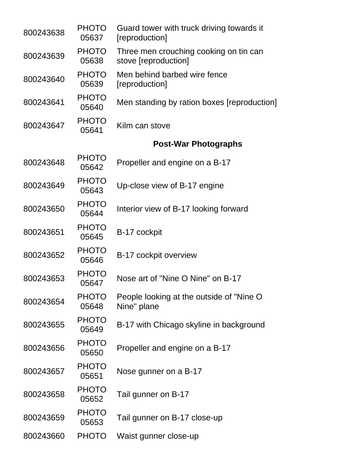| 800243638 | <b>PHOTO</b><br>05637 | Guard tower with truck driving towards it<br>[reproduction]    |
|-----------|-----------------------|----------------------------------------------------------------|
| 800243639 | <b>PHOTO</b><br>05638 | Three men crouching cooking on tin can<br>stove [reproduction] |
| 800243640 | <b>PHOTO</b><br>05639 | Men behind barbed wire fence<br>[reproduction]                 |
| 800243641 | <b>PHOTO</b><br>05640 | Men standing by ration boxes [reproduction]                    |
| 800243647 | <b>PHOTO</b><br>05641 | Kilm can stove                                                 |
|           |                       | <b>Post-War Photographs</b>                                    |
| 800243648 | <b>PHOTO</b><br>05642 | Propeller and engine on a B-17                                 |
| 800243649 | <b>PHOTO</b><br>05643 | Up-close view of B-17 engine                                   |
| 800243650 | <b>PHOTO</b><br>05644 | Interior view of B-17 looking forward                          |
| 800243651 | <b>PHOTO</b><br>05645 | B-17 cockpit                                                   |
| 800243652 | <b>PHOTO</b><br>05646 | B-17 cockpit overview                                          |
| 800243653 | <b>PHOTO</b><br>05647 | Nose art of "Nine O Nine" on B-17                              |
| 800243654 | <b>PHOTO</b><br>05648 | People looking at the outside of "Nine O<br>Nine" plane        |
| 800243655 | <b>PHOTO</b><br>05649 | B-17 with Chicago skyline in background                        |
| 800243656 | <b>PHOTO</b><br>05650 | Propeller and engine on a B-17                                 |
| 800243657 | <b>PHOTO</b><br>05651 | Nose gunner on a B-17                                          |
| 800243658 | <b>PHOTO</b><br>05652 | Tail gunner on B-17                                            |
| 800243659 | <b>PHOTO</b><br>05653 | Tail gunner on B-17 close-up                                   |
| 800243660 | <b>PHOTO</b>          | Waist gunner close-up                                          |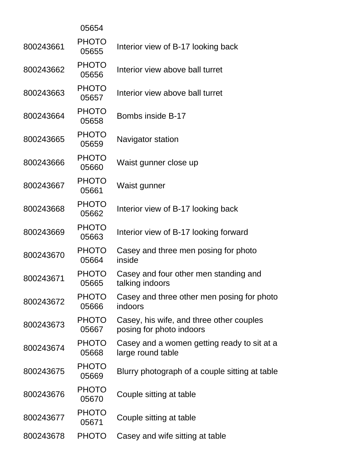|           | 05654                 |                                                                      |
|-----------|-----------------------|----------------------------------------------------------------------|
| 800243661 | <b>PHOTO</b><br>05655 | Interior view of B-17 looking back                                   |
| 800243662 | <b>PHOTO</b><br>05656 | Interior view above ball turret                                      |
| 800243663 | <b>PHOTO</b><br>05657 | Interior view above ball turret                                      |
| 800243664 | <b>PHOTO</b><br>05658 | Bombs inside B-17                                                    |
| 800243665 | <b>PHOTO</b><br>05659 | Navigator station                                                    |
| 800243666 | <b>PHOTO</b><br>05660 | Waist gunner close up                                                |
| 800243667 | <b>PHOTO</b><br>05661 | Waist gunner                                                         |
| 800243668 | <b>PHOTO</b><br>05662 | Interior view of B-17 looking back                                   |
| 800243669 | <b>PHOTO</b><br>05663 | Interior view of B-17 looking forward                                |
| 800243670 | <b>PHOTO</b><br>05664 | Casey and three men posing for photo<br>inside                       |
| 800243671 | <b>PHOTO</b><br>05665 | Casey and four other men standing and<br>talking indoors             |
| 800243672 | <b>PHOTO</b><br>05666 | Casey and three other men posing for photo<br>indoors                |
| 800243673 | <b>PHOTO</b><br>05667 | Casey, his wife, and three other couples<br>posing for photo indoors |
| 800243674 | <b>PHOTO</b><br>05668 | Casey and a women getting ready to sit at a<br>large round table     |
| 800243675 | <b>PHOTO</b><br>05669 | Blurry photograph of a couple sitting at table                       |
| 800243676 | <b>PHOTO</b><br>05670 | Couple sitting at table                                              |
| 800243677 | <b>PHOTO</b><br>05671 | Couple sitting at table                                              |
| 800243678 | <b>PHOTO</b>          | Casey and wife sitting at table                                      |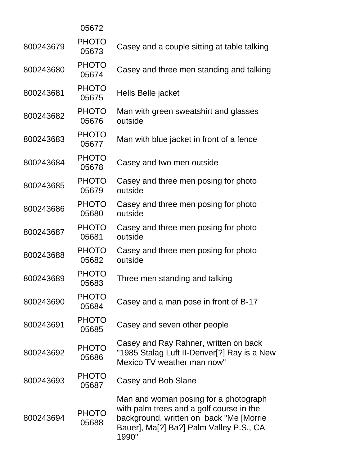|           | 05672                 |                                                                                                                                                                                  |
|-----------|-----------------------|----------------------------------------------------------------------------------------------------------------------------------------------------------------------------------|
| 800243679 | <b>PHOTO</b><br>05673 | Casey and a couple sitting at table talking                                                                                                                                      |
| 800243680 | <b>PHOTO</b><br>05674 | Casey and three men standing and talking                                                                                                                                         |
| 800243681 | <b>PHOTO</b><br>05675 | Hells Belle jacket                                                                                                                                                               |
| 800243682 | <b>PHOTO</b><br>05676 | Man with green sweatshirt and glasses<br>outside                                                                                                                                 |
| 800243683 | <b>PHOTO</b><br>05677 | Man with blue jacket in front of a fence                                                                                                                                         |
| 800243684 | <b>PHOTO</b><br>05678 | Casey and two men outside                                                                                                                                                        |
| 800243685 | <b>PHOTO</b><br>05679 | Casey and three men posing for photo<br>outside                                                                                                                                  |
| 800243686 | <b>PHOTO</b><br>05680 | Casey and three men posing for photo<br>outside                                                                                                                                  |
| 800243687 | <b>PHOTO</b><br>05681 | Casey and three men posing for photo<br>outside                                                                                                                                  |
| 800243688 | <b>PHOTO</b><br>05682 | Casey and three men posing for photo<br>outside                                                                                                                                  |
| 800243689 | <b>PHOTO</b><br>05683 | Three men standing and talking                                                                                                                                                   |
| 800243690 | <b>PHOTO</b><br>05684 | Casey and a man pose in front of B-17                                                                                                                                            |
| 800243691 | <b>PHOTO</b><br>05685 | Casey and seven other people                                                                                                                                                     |
| 800243692 | <b>PHOTO</b><br>05686 | Casey and Ray Rahner, written on back<br>"1985 Stalag Luft II-Denver[?] Ray is a New<br>Mexico TV weather man now"                                                               |
| 800243693 | <b>PHOTO</b><br>05687 | Casey and Bob Slane                                                                                                                                                              |
| 800243694 | <b>PHOTO</b><br>05688 | Man and woman posing for a photograph<br>with palm trees and a golf course in the<br>background, written on back "Me [Morrie<br>Bauer], Ma[?] Ba?] Palm Valley P.S., CA<br>1990" |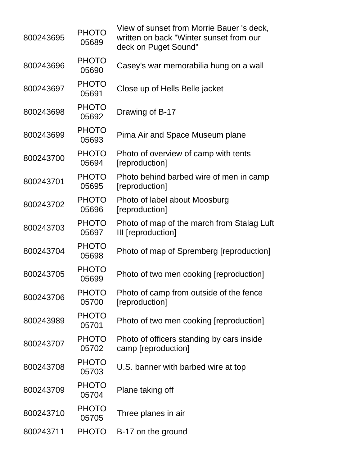| 800243695 | <b>PHOTO</b><br>05689 | View of sunset from Morrie Bauer 's deck,<br>written on back "Winter sunset from our<br>deck on Puget Sound" |
|-----------|-----------------------|--------------------------------------------------------------------------------------------------------------|
| 800243696 | <b>PHOTO</b><br>05690 | Casey's war memorabilia hung on a wall                                                                       |
| 800243697 | <b>PHOTO</b><br>05691 | Close up of Hells Belle jacket                                                                               |
| 800243698 | <b>PHOTO</b><br>05692 | Drawing of B-17                                                                                              |
| 800243699 | <b>PHOTO</b><br>05693 | Pima Air and Space Museum plane                                                                              |
| 800243700 | <b>PHOTO</b><br>05694 | Photo of overview of camp with tents<br>[reproduction]                                                       |
| 800243701 | <b>PHOTO</b><br>05695 | Photo behind barbed wire of men in camp<br>[reproduction]                                                    |
| 800243702 | <b>PHOTO</b><br>05696 | Photo of label about Moosburg<br>[reproduction]                                                              |
| 800243703 | <b>PHOTO</b><br>05697 | Photo of map of the march from Stalag Luft<br>III [reproduction]                                             |
| 800243704 | <b>PHOTO</b><br>05698 | Photo of map of Spremberg [reproduction]                                                                     |
| 800243705 | <b>PHOTO</b><br>05699 | Photo of two men cooking [reproduction]                                                                      |
| 800243706 | <b>PHOTO</b><br>05700 | Photo of camp from outside of the fence<br>[reproduction]                                                    |
| 800243989 | <b>PHOTO</b><br>05701 | Photo of two men cooking [reproduction]                                                                      |
| 800243707 | <b>PHOTO</b><br>05702 | Photo of officers standing by cars inside<br>camp [reproduction]                                             |
| 800243708 | <b>PHOTO</b><br>05703 | U.S. banner with barbed wire at top                                                                          |
| 800243709 | <b>PHOTO</b><br>05704 | Plane taking off                                                                                             |
| 800243710 | <b>PHOTO</b><br>05705 | Three planes in air                                                                                          |
| 800243711 | <b>PHOTO</b>          | B-17 on the ground                                                                                           |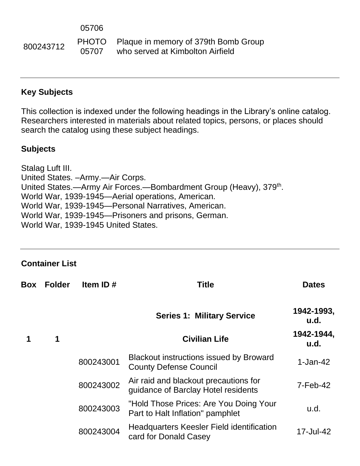<sup>800243712</sup> PHOTO 05707 Plaque in memory of 379th Bomb Group who served at Kimbolton Airfield

#### **Key Subjects**

This collection is indexed under the following headings in the Library's online catalog. Researchers interested in materials about related topics, persons, or places should search the catalog using these subject headings.

#### **Subjects**

Stalag Luft III. United States. –Army.—Air Corps. United States.—Army Air Forces.—Bombardment Group (Heavy), 379<sup>th</sup>. World War, 1939-1945—Aerial operations, American. World War, 1939-1945—Personal Narratives, American. World War, 1939-1945—Prisoners and prisons, German. World War, 1939-1945 United States.

**Container List**

| Box | <b>Folder</b> | Item ID#  | <b>Title</b>                                                                    | <b>Dates</b>       |
|-----|---------------|-----------|---------------------------------------------------------------------------------|--------------------|
|     |               |           | <b>Series 1: Military Service</b>                                               | 1942-1993,<br>u.d. |
|     | 1             |           | <b>Civilian Life</b>                                                            | 1942-1944,<br>u.d. |
|     |               | 800243001 | <b>Blackout instructions issued by Broward</b><br><b>County Defense Council</b> | $1-Jan-42$         |
|     |               | 800243002 | Air raid and blackout precautions for<br>quidance of Barclay Hotel residents    | 7-Feb-42           |
|     |               | 800243003 | "Hold Those Prices: Are You Doing Your<br>Part to Halt Inflation" pamphlet      | u.d.               |
|     |               | 800243004 | <b>Headquarters Keesler Field identification</b><br>card for Donald Casey       | 17-Jul-42          |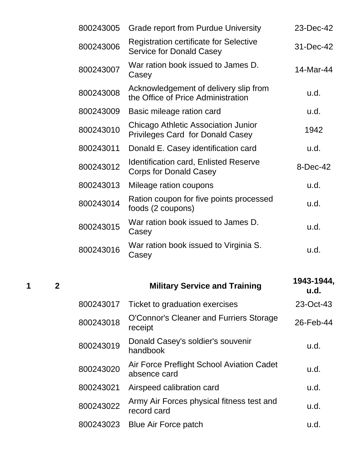| 800243005 | <b>Grade report from Purdue University</b>                                            | 23-Dec-42 |
|-----------|---------------------------------------------------------------------------------------|-----------|
| 800243006 | <b>Registration certificate for Selective</b><br><b>Service for Donald Casey</b>      | 31-Dec-42 |
| 800243007 | War ration book issued to James D.<br>Casey                                           | 14-Mar-44 |
| 800243008 | Acknowledgement of delivery slip from<br>the Office of Price Administration           | u.d.      |
| 800243009 | Basic mileage ration card                                                             | u.d.      |
| 800243010 | <b>Chicago Athletic Association Junior</b><br><b>Privileges Card for Donald Casey</b> | 1942      |
| 800243011 | Donald E. Casey identification card                                                   | u.d.      |
| 800243012 | <b>Identification card, Enlisted Reserve</b><br><b>Corps for Donald Casey</b>         | 8-Dec-42  |
| 800243013 | Mileage ration coupons                                                                | u.d.      |
| 800243014 | Ration coupon for five points processed<br>foods (2 coupons)                          | u.d.      |
| 800243015 | War ration book issued to James D.<br>Casey                                           | u.d.      |
| 800243016 | War ration book issued to Virginia S.<br>Casey                                        | u.d.      |
|           |                                                                                       |           |

**<sup>1</sup> <sup>2</sup> Military Service and Training 1943-1944, u.d.** 800243017 Ticket to graduation exercises 23-Oct-43 800243018 O'Connor's Cleaner and Furriers Storage Common sidealler and minimis otonage 26-Feb-44 <sup>800243019</sup> Donald Casey's soldier's souvenir bonald basey's soldier's souverning the manufacture of the u.d.<br>handbook 800243020 Air Force Preflight School Aviation Cadet All I bree Frenight behoor Aviation bauer absence card u.d. 800243021 Airspeed calibration card u.d. 800243022 Army Air Forces physical fitness test and All it of the priyordal nures of the direction of the direction of the cord card 800243023 Blue Air Force patch u.d.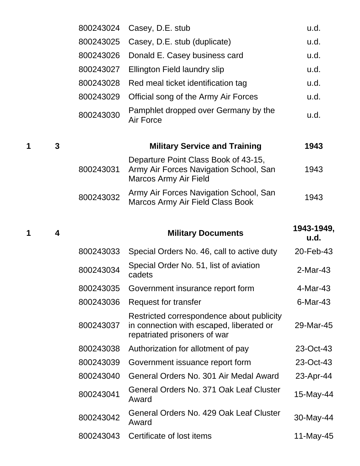|   |   | 800243024 | Casey, D.E. stub                                                                                                      | u.d.               |
|---|---|-----------|-----------------------------------------------------------------------------------------------------------------------|--------------------|
|   |   | 800243025 | Casey, D.E. stub (duplicate)                                                                                          | u.d.               |
|   |   | 800243026 | Donald E. Casey business card                                                                                         | u.d.               |
|   |   | 800243027 | Ellington Field laundry slip                                                                                          | u.d.               |
|   |   | 800243028 | Red meal ticket identification tag                                                                                    | u.d.               |
|   |   | 800243029 | Official song of the Army Air Forces                                                                                  | u.d.               |
|   |   | 800243030 | Pamphlet dropped over Germany by the<br>Air Force                                                                     | u.d.               |
| 1 | 3 |           | <b>Military Service and Training</b>                                                                                  | 1943               |
|   |   | 800243031 | Departure Point Class Book of 43-15,<br>Army Air Forces Navigation School, San<br>Marcos Army Air Field               | 1943               |
|   |   | 800243032 | Army Air Forces Navigation School, San<br>Marcos Army Air Field Class Book                                            | 1943               |
| 1 | 4 |           | <b>Military Documents</b>                                                                                             | 1943-1949,<br>u.d. |
|   |   | 800243033 | Special Orders No. 46, call to active duty                                                                            | 20-Feb-43          |
|   |   |           |                                                                                                                       |                    |
|   |   | 800243034 | Special Order No. 51, list of aviation<br>cadets                                                                      | $2-Mar-43$         |
|   |   | 800243035 | Government insurance report form                                                                                      | 4-Mar-43           |
|   |   | 800243036 | Request for transfer                                                                                                  | 6-Mar-43           |
|   |   | 800243037 | Restricted correspondence about publicity<br>in connection with escaped, liberated or<br>repatriated prisoners of war | 29-Mar-45          |
|   |   | 800243038 | Authorization for allotment of pay                                                                                    | 23-Oct-43          |
|   |   | 800243039 | Government issuance report form                                                                                       | 23-Oct-43          |
|   |   | 800243040 | General Orders No. 301 Air Medal Award                                                                                | 23-Apr-44          |
|   |   | 800243041 | General Orders No. 371 Oak Leaf Cluster<br>Award                                                                      | 15-May-44          |
|   |   | 800243042 | General Orders No. 429 Oak Leaf Cluster<br>Award                                                                      | 30-May-44          |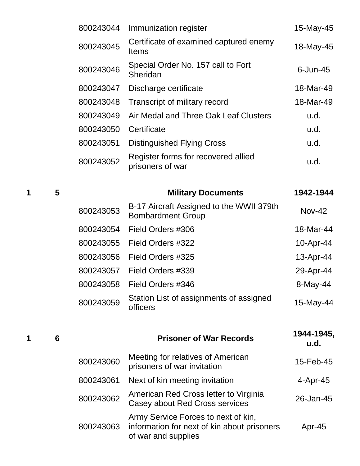|   |   | 800243044 | Immunization register                                                | 15-May-45     |
|---|---|-----------|----------------------------------------------------------------------|---------------|
|   |   | 800243045 | Certificate of examined captured enemy<br><b>Items</b>               | 18-May-45     |
|   |   | 800243046 | Special Order No. 157 call to Fort<br>Sheridan                       | $6$ -Jun-45   |
|   |   | 800243047 | Discharge certificate                                                | 18-Mar-49     |
|   |   | 800243048 | Transcript of military record                                        | 18-Mar-49     |
|   |   | 800243049 | Air Medal and Three Oak Leaf Clusters                                | u.d.          |
|   |   | 800243050 | Certificate                                                          | u.d.          |
|   |   | 800243051 | <b>Distinguished Flying Cross</b>                                    | u.d.          |
|   |   | 800243052 | Register forms for recovered allied<br>prisoners of war              | u.d.          |
| 1 | 5 |           | <b>Military Documents</b>                                            | 1942-1944     |
|   |   | 800243053 | B-17 Aircraft Assigned to the WWII 379th<br><b>Bombardment Group</b> | <b>Nov-42</b> |
|   |   | 800243054 | Field Orders #306                                                    | 18-Mar-44     |
|   |   | 800243055 | Field Orders #322                                                    | 10-Apr-44     |
|   |   | 800243056 | Field Orders #325                                                    | 13-Apr-44     |
|   |   |           |                                                                      |               |

800243057 Field Orders #339 29-Apr-44 800243058 Field Orders #346 6 8-May-44 <sup>800243059</sup> Station List of assignments of assigned Station Elst of assignments of assigned 15-May-44<br>officers

**<sup>1</sup> <sup>6</sup> Prisoner of War Records 1944-1945, u.d.** <sup>800243060</sup> Meeting for relatives of American prisoners of war invitation 15-Feb-45 800243061 Next of kin meeting invitation 4-Apr-45 <sup>800243062</sup> American Red Cross letter to Virginia American Ned Cross letter to Virginia<br>Casey about Red Cross services 26-Jan-45 800243063 Army Service Forces to next of kin, information for next of kin about prisoners of war and supplies Apr-45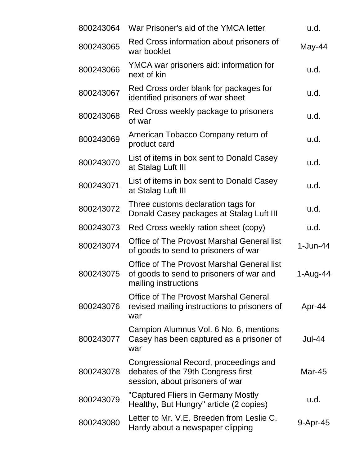| 800243064 | War Prisoner's aid of the YMCA letter                                                                          | u.d.       |
|-----------|----------------------------------------------------------------------------------------------------------------|------------|
| 800243065 | Red Cross information about prisoners of<br>war booklet                                                        | $May-44$   |
| 800243066 | YMCA war prisoners aid: information for<br>next of kin                                                         | u.d.       |
| 800243067 | Red Cross order blank for packages for<br>identified prisoners of war sheet                                    | u.d.       |
| 800243068 | Red Cross weekly package to prisoners<br>of war                                                                | u.d.       |
| 800243069 | American Tobacco Company return of<br>product card                                                             | u.d.       |
| 800243070 | List of items in box sent to Donald Casey<br>at Stalag Luft III                                                | u.d.       |
| 800243071 | List of items in box sent to Donald Casey<br>at Stalag Luft III                                                | u.d.       |
| 800243072 | Three customs declaration tags for<br>Donald Casey packages at Stalag Luft III                                 | u.d.       |
| 800243073 | Red Cross weekly ration sheet (copy)                                                                           | u.d.       |
| 800243074 | <b>Office of The Provost Marshal General list</b><br>of goods to send to prisoners of war                      | $1-Jun-44$ |
| 800243075 | Office of The Provost Marshal General list<br>of goods to send to prisoners of war and<br>mailing instructions | 1-Aug-44   |
| 800243076 | Office of The Provost Marshal General<br>revised mailing instructions to prisoners of<br>war                   | Apr-44     |
| 800243077 | Campion Alumnus Vol. 6 No. 6, mentions<br>Casey has been captured as a prisoner of<br>war                      | Jul-44     |
| 800243078 | Congressional Record, proceedings and<br>debates of the 79th Congress first<br>session, about prisoners of war | Mar-45     |
| 800243079 | "Captured Fliers in Germany Mostly<br>Healthy, But Hungry" article (2 copies)                                  | u.d.       |
| 800243080 | Letter to Mr. V.E. Breeden from Leslie C.<br>Hardy about a newspaper clipping                                  | 9-Apr-45   |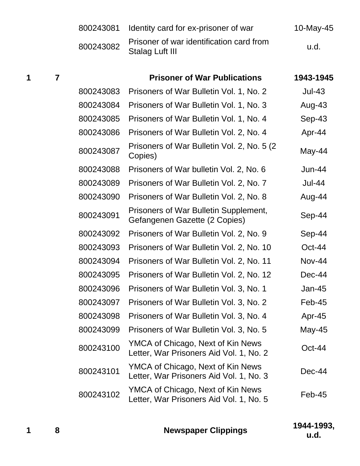|   |                         | 800243081 | Identity card for ex-prisoner of war                                         | 10-May-45     |
|---|-------------------------|-----------|------------------------------------------------------------------------------|---------------|
|   |                         | 800243082 | Prisoner of war identification card from<br><b>Stalag Luft III</b>           | u.d.          |
| 1 | $\overline{\mathbf{7}}$ |           | <b>Prisoner of War Publications</b>                                          | 1943-1945     |
|   |                         | 800243083 | Prisoners of War Bulletin Vol. 1, No. 2                                      | <b>Jul-43</b> |
|   |                         | 800243084 | Prisoners of War Bulletin Vol. 1, No. 3                                      | Aug-43        |
|   |                         | 800243085 | Prisoners of War Bulletin Vol. 1, No. 4                                      | Sep-43        |
|   |                         | 800243086 | Prisoners of War Bulletin Vol. 2, No. 4                                      | Apr-44        |
|   |                         | 800243087 | Prisoners of War Bulletin Vol. 2, No. 5 (2)<br>Copies)                       | May-44        |
|   |                         | 800243088 | Prisoners of War bulletin Vol. 2, No. 6                                      | $Jun-44$      |
|   |                         | 800243089 | Prisoners of War Bulletin Vol. 2, No. 7                                      | <b>Jul-44</b> |
|   |                         | 800243090 | Prisoners of War Bulletin Vol. 2, No. 8                                      | Aug-44        |
|   |                         | 800243091 | Prisoners of War Bulletin Supplement,<br>Gefangenen Gazette (2 Copies)       | Sep-44        |
|   |                         | 800243092 | Prisoners of War Bulletin Vol. 2, No. 9                                      | Sep-44        |
|   |                         | 800243093 | Prisoners of War Bulletin Vol. 2, No. 10                                     | Oct-44        |
|   |                         | 800243094 | Prisoners of War Bulletin Vol. 2, No. 11                                     | Nov-44        |
|   |                         | 800243095 | Prisoners of War Bulletin Vol. 2, No. 12                                     | Dec-44        |
|   |                         | 800243096 | Prisoners of War Bulletin Vol. 3, No. 1                                      | Jan-45        |
|   |                         | 800243097 | Prisoners of War Bulletin Vol. 3, No. 2                                      | Feb-45        |
|   |                         | 800243098 | Prisoners of War Bulletin Vol. 3, No. 4                                      | Apr-45        |
|   |                         | 800243099 | Prisoners of War Bulletin Vol. 3, No. 5                                      | May-45        |
|   |                         | 800243100 | YMCA of Chicago, Next of Kin News<br>Letter, War Prisoners Aid Vol. 1, No. 2 | $Oct-44$      |
|   |                         | 800243101 | YMCA of Chicago, Next of Kin News<br>Letter, War Prisoners Aid Vol. 1, No. 3 | Dec-44        |
|   |                         | 800243102 | YMCA of Chicago, Next of Kin News<br>Letter, War Prisoners Aid Vol. 1, No. 5 | Feb-45        |
|   |                         |           |                                                                              |               |

|  | <b>Newspaper Clippings</b> | 1944-1993,  |
|--|----------------------------|-------------|
|  |                            | <b>u.d.</b> |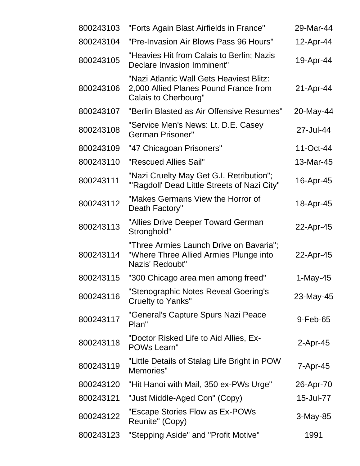| 800243103 | "Forts Again Blast Airfields in France"                                                                   | 29-Mar-44  |
|-----------|-----------------------------------------------------------------------------------------------------------|------------|
| 800243104 | "Pre-Invasion Air Blows Pass 96 Hours"                                                                    | 12-Apr-44  |
| 800243105 | "Heavies Hit from Calais to Berlin; Nazis<br>Declare Invasion Imminent"                                   | 19-Apr-44  |
| 800243106 | "Nazi Atlantic Wall Gets Heaviest Blitz:<br>2,000 Allied Planes Pound France from<br>Calais to Cherbourg" | 21-Apr-44  |
| 800243107 | "Berlin Blasted as Air Offensive Resumes"                                                                 | 20-May-44  |
| 800243108 | "Service Men's News: Lt. D.E. Casey<br>German Prisoner"                                                   | 27-Jul-44  |
| 800243109 | "47 Chicagoan Prisoners"                                                                                  | 11-Oct-44  |
| 800243110 | "Rescued Allies Sail"                                                                                     | 13-Mar-45  |
| 800243111 | "Nazi Cruelty May Get G.I. Retribution";<br>"'Ragdoll' Dead Little Streets of Nazi City"                  | 16-Apr-45  |
| 800243112 | "Makes Germans View the Horror of<br>Death Factory"                                                       | 18-Apr-45  |
| 800243113 | "Allies Drive Deeper Toward German<br>Stronghold"                                                         | 22-Apr-45  |
| 800243114 | "Three Armies Launch Drive on Bavaria";<br>"Where Three Allied Armies Plunge into<br>Nazis' Redoubt"      | 22-Apr-45  |
| 800243115 | "300 Chicago area men among freed"                                                                        | 1-May-45   |
| 800243116 | "Stenographic Notes Reveal Goering's<br><b>Cruelty to Yanks"</b>                                          | 23-May-45  |
| 800243117 | "General's Capture Spurs Nazi Peace<br>Plan"                                                              | 9-Feb-65   |
| 800243118 | "Doctor Risked Life to Aid Allies, Ex-<br><b>POWs Learn"</b>                                              | 2-Apr-45   |
| 800243119 | "Little Details of Stalag Life Bright in POW<br>Memories"                                                 | 7-Apr-45   |
| 800243120 | "Hit Hanoi with Mail, 350 ex-PWs Urge"                                                                    | 26-Apr-70  |
| 800243121 | "Just Middle-Aged Con" (Copy)                                                                             | 15-Jul-77  |
| 800243122 | "Escape Stories Flow as Ex-POWs<br>Reunite" (Copy)                                                        | $3-May-85$ |
| 800243123 | "Stepping Aside" and "Profit Motive"                                                                      | 1991       |
|           |                                                                                                           |            |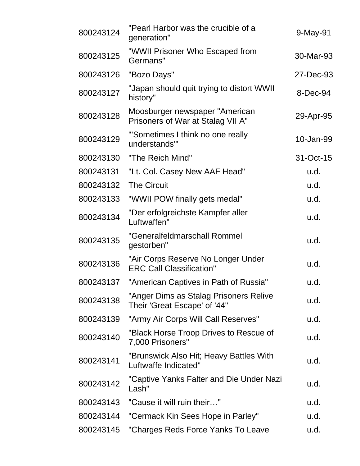| 800243124 | "Pearl Harbor was the crucible of a<br>generation"                     | 9-May-91  |
|-----------|------------------------------------------------------------------------|-----------|
| 800243125 | "WWII Prisoner Who Escaped from<br>Germans"                            | 30-Mar-93 |
| 800243126 | "Bozo Days"                                                            | 27-Dec-93 |
| 800243127 | "Japan should quit trying to distort WWII<br>history"                  | 8-Dec-94  |
| 800243128 | Moosburger newspaper "American<br>Prisoners of War at Stalag VII A"    | 29-Apr-95 |
| 800243129 | "Sometimes I think no one really<br>understands"                       | 10-Jan-99 |
| 800243130 | "The Reich Mind"                                                       | 31-Oct-15 |
| 800243131 | "Lt. Col. Casey New AAF Head"                                          | u.d.      |
| 800243132 | <b>The Circuit</b>                                                     | u.d.      |
| 800243133 | "WWII POW finally gets medal"                                          | u.d.      |
| 800243134 | "Der erfolgreichste Kampfer aller<br>Luftwaffen"                       | u.d.      |
| 800243135 | "Generalfeldmarschall Rommel<br>gestorben"                             | u.d.      |
| 800243136 | "Air Corps Reserve No Longer Under<br><b>ERC Call Classification"</b>  | u.d.      |
| 800243137 | "American Captives in Path of Russia"                                  | u.d.      |
| 800243138 | "Anger Dims as Stalag Prisoners Relive<br>Their 'Great Escape' of '44" | u.d.      |
| 800243139 | "Army Air Corps Will Call Reserves"                                    | u.d.      |
| 800243140 | "Black Horse Troop Drives to Rescue of<br>7,000 Prisoners"             | u.d.      |
| 800243141 | "Brunswick Also Hit; Heavy Battles With<br>Luftwaffe Indicated"        | u.d.      |
| 800243142 | "Captive Yanks Falter and Die Under Nazi<br>Lash"                      | u.d.      |
| 800243143 | "Cause it will ruin their"                                             | u.d.      |
| 800243144 | "Cermack Kin Sees Hope in Parley"                                      | u.d.      |
| 800243145 | "Charges Reds Force Yanks To Leave                                     | u.d.      |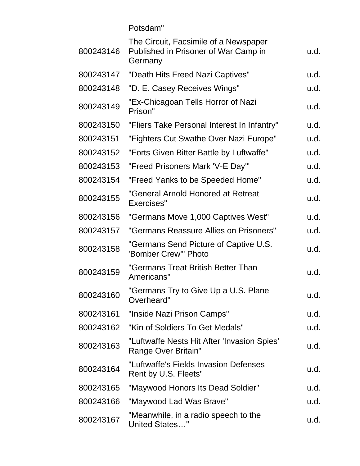Potsdam"

| 800243146 | The Circuit, Facsimile of a Newspaper<br>Published in Prisoner of War Camp in<br>Germany | u.d. |
|-----------|------------------------------------------------------------------------------------------|------|
| 800243147 | "Death Hits Freed Nazi Captives"                                                         | u.d. |
| 800243148 | "D. E. Casey Receives Wings"                                                             | u.d. |
| 800243149 | "Ex-Chicagoan Tells Horror of Nazi<br>Prison"                                            | u.d. |
| 800243150 | "Fliers Take Personal Interest In Infantry"                                              | u.d. |
| 800243151 | "Fighters Cut Swathe Over Nazi Europe"                                                   | u.d. |
| 800243152 | "Forts Given Bitter Battle by Luftwaffe"                                                 | u.d. |
| 800243153 | "Freed Prisoners Mark 'V-E Day'"                                                         | u.d. |
| 800243154 | "Freed Yanks to be Speeded Home"                                                         | u.d. |
| 800243155 | "General Arnold Honored at Retreat<br>Exercises"                                         | u.d. |
| 800243156 | "Germans Move 1,000 Captives West"                                                       | u.d. |
| 800243157 | "Germans Reassure Allies on Prisoners"                                                   | u.d. |
| 800243158 | "Germans Send Picture of Captive U.S.<br>'Bomber Crew'" Photo                            | u.d. |
| 800243159 | "Germans Treat British Better Than<br>Americans"                                         | u.d. |
| 800243160 | "Germans Try to Give Up a U.S. Plane<br>Overheard"                                       | u.d. |
| 800243161 | "Inside Nazi Prison Camps"                                                               | u.d. |
| 800243162 | "Kin of Soldiers To Get Medals"                                                          | u.d. |
| 800243163 | "Luftwaffe Nests Hit After 'Invasion Spies'<br>Range Over Britain"                       | u.d. |
| 800243164 | "Luftwaffe's Fields Invasion Defenses<br>Rent by U.S. Fleets"                            | u.d. |
| 800243165 | "Maywood Honors Its Dead Soldier"                                                        | u.d. |
| 800243166 | "Maywood Lad Was Brave"                                                                  | u.d. |
| 800243167 | "Meanwhile, in a radio speech to the<br><b>United States"</b>                            | u.d. |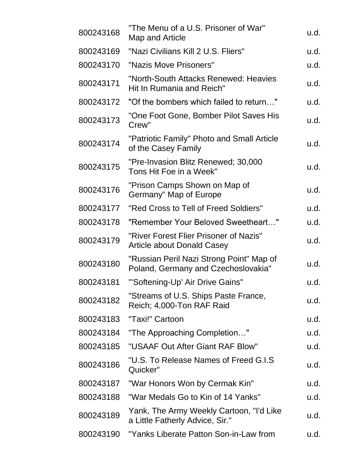| 800243168 | "The Menu of a U.S. Prisoner of War"<br>Map and Article                         | u.d. |
|-----------|---------------------------------------------------------------------------------|------|
| 800243169 | "Nazi Civilians Kill 2 U.S. Fliers"                                             | u.d. |
| 800243170 | "Nazis Move Prisoners"                                                          | u.d. |
| 800243171 | "North-South Attacks Renewed: Heavies<br>Hit In Rumania and Reich"              | u.d. |
| 800243172 | "Of the bombers which failed to return"                                         | u.d. |
| 800243173 | "One Foot Gone, Bomber Pilot Saves His<br>Crew"                                 | u.d. |
| 800243174 | "Patriotic Family" Photo and Small Article<br>of the Casey Family               | u.d. |
| 800243175 | "Pre-Invasion Blitz Renewed; 30,000<br>Tons Hit Foe in a Week"                  | u.d. |
| 800243176 | "Prison Camps Shown on Map of<br>Germany" Map of Europe                         | u.d. |
| 800243177 | "Red Cross to Tell of Freed Soldiers"                                           | u.d. |
| 800243178 | "Remember Your Beloved Sweetheart"                                              | u.d. |
| 800243179 | "River Forest Flier Prisoner of Nazis"<br><b>Article about Donald Casey</b>     | u.d. |
| 800243180 | "Russian Peril Nazi Strong Point" Map of<br>Poland, Germany and Czechoslovakia" | u.d. |
| 800243181 | "'Softening-Up' Air Drive Gains"                                                | u.d. |
| 800243182 | "Streams of U.S. Ships Paste France,<br>Reich; 4,000-Ton RAF Raid               | u.d. |
| 800243183 | "Taxi!" Cartoon                                                                 | u.d. |
| 800243184 | "The Approaching Completion…"                                                   | u.d. |
| 800243185 | "USAAF Out After Giant RAF Blow"                                                | u.d. |
| 800243186 | "U.S. To Release Names of Freed G.I.S<br>Quicker"                               | u.d. |
| 800243187 | "War Honors Won by Cermak Kin"                                                  | u.d. |
| 800243188 | "War Medals Go to Kin of 14 Yanks"                                              | u.d. |
| 800243189 | Yank, The Army Weekly Cartoon, "I'd Like<br>a Little Fatherly Advice, Sir."     | u.d. |
| 800243190 | "Yanks Liberate Patton Son-in-Law from                                          | u.d. |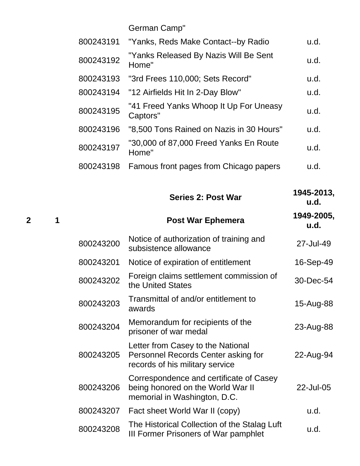|           | German Camp"                                       |      |
|-----------|----------------------------------------------------|------|
| 800243191 | "Yanks, Reds Make Contact--by Radio                | u.d. |
| 800243192 | "Yanks Released By Nazis Will Be Sent<br>Home"     | u.d. |
| 800243193 | "3rd Frees 110,000; Sets Record"                   | u.d. |
| 800243194 | "12 Airfields Hit In 2-Day Blow"                   | u.d. |
| 800243195 | "41 Freed Yanks Whoop It Up For Uneasy<br>Captors" | u.d. |
| 800243196 | "8,500 Tons Rained on Nazis in 30 Hours"           | u.d. |
| 800243197 | "30,000 of 87,000 Freed Yanks En Route<br>Home"    | u.d. |
| 800243198 | Famous front pages from Chicago papers             | u.d. |

|                |   |           | <b>Series 2: Post War</b>                                                                                    | 1945-2013,<br>u.d. |
|----------------|---|-----------|--------------------------------------------------------------------------------------------------------------|--------------------|
| $\overline{2}$ | 1 |           | <b>Post War Ephemera</b>                                                                                     | 1949-2005,<br>u.d. |
|                |   | 800243200 | Notice of authorization of training and<br>subsistence allowance                                             | 27-Jul-49          |
|                |   | 800243201 | Notice of expiration of entitlement                                                                          | 16-Sep-49          |
|                |   | 800243202 | Foreign claims settlement commission of<br>the United States                                                 | 30-Dec-54          |
|                |   | 800243203 | Transmittal of and/or entitlement to<br>awards                                                               | 15-Aug-88          |
|                |   | 800243204 | Memorandum for recipients of the<br>prisoner of war medal                                                    | 23-Aug-88          |
|                |   | 800243205 | Letter from Casey to the National<br>Personnel Records Center asking for<br>records of his military service  | 22-Aug-94          |
|                |   | 800243206 | Correspondence and certificate of Casey<br>being honored on the World War II<br>memorial in Washington, D.C. | 22-Jul-05          |
|                |   | 800243207 | Fact sheet World War II (copy)                                                                               | u.d.               |
|                |   | 800243208 | The Historical Collection of the Stalag Luft<br>III Former Prisoners of War pamphlet                         | u.d.               |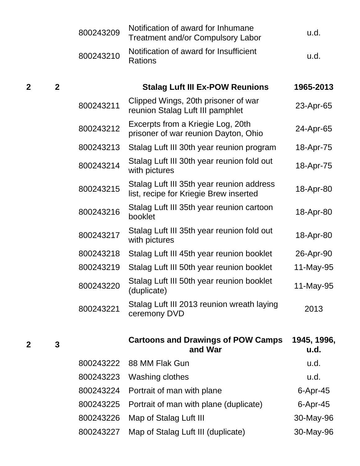|   |              | 800243209 | Notification of award for Inhumane<br><b>Treatment and/or Compulsory Labor</b>      | u.d.                |
|---|--------------|-----------|-------------------------------------------------------------------------------------|---------------------|
|   |              | 800243210 | Notification of award for Insufficient<br><b>Rations</b>                            | u.d.                |
| 2 | $\mathbf{2}$ |           | <b>Stalag Luft III Ex-POW Reunions</b>                                              | 1965-2013           |
|   |              | 800243211 | Clipped Wings, 20th prisoner of war<br>reunion Stalag Luft III pamphlet             | 23-Apr-65           |
|   |              | 800243212 | Excerpts from a Kriegie Log, 20th<br>prisoner of war reunion Dayton, Ohio           | 24-Apr-65           |
|   |              | 800243213 | Stalag Luft III 30th year reunion program                                           | 18-Apr-75           |
|   |              | 800243214 | Stalag Luft III 30th year reunion fold out<br>with pictures                         | 18-Apr-75           |
|   |              | 800243215 | Stalag Luft III 35th year reunion address<br>list, recipe for Kriegie Brew inserted | 18-Apr-80           |
|   |              | 800243216 | Stalag Luft III 35th year reunion cartoon<br>booklet                                | 18-Apr-80           |
|   |              | 800243217 | Stalag Luft III 35th year reunion fold out<br>with pictures                         | 18-Apr-80           |
|   |              | 800243218 | Stalag Luft III 45th year reunion booklet                                           | 26-Apr-90           |
|   |              | 800243219 | Stalag Luft III 50th year reunion booklet                                           | 11-May-95           |
|   |              | 800243220 | Stalag Luft III 50th year reunion booklet<br>(duplicate)                            | 11-May-95           |
|   |              | 800243221 | Stalag Luft III 2013 reunion wreath laying<br>ceremony DVD                          | 2013                |
| 2 | 3            |           | <b>Cartoons and Drawings of POW Camps</b><br>and War                                | 1945, 1996,<br>u.d. |
|   |              | 800243222 | 88 MM Flak Gun                                                                      | u.d.                |
|   |              | 800243223 | Washing clothes                                                                     | u.d.                |
|   |              | 800243224 | Portrait of man with plane                                                          | $6$ -Apr-45         |
|   |              | 800243225 | Portrait of man with plane (duplicate)                                              | $6$ -Apr-45         |
|   |              | 800243226 | Map of Stalag Luft III                                                              | 30-May-96           |
|   |              | 800243227 | Map of Stalag Luft III (duplicate)                                                  | 30-May-96           |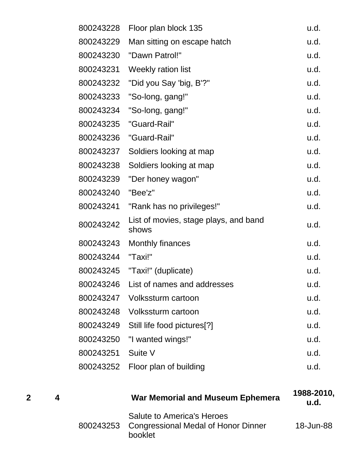| 800243228 | Floor plan block 135                           | u.d. |
|-----------|------------------------------------------------|------|
| 800243229 | Man sitting on escape hatch                    | u.d. |
| 800243230 | "Dawn Patrol!"                                 | u.d. |
| 800243231 | Weekly ration list                             | u.d. |
| 800243232 | "Did you Say 'big, B'?"                        | u.d. |
| 800243233 | "So-long, gang!"                               | u.d. |
| 800243234 | "So-long, gang!"                               | u.d. |
| 800243235 | "Guard-Rail"                                   | u.d. |
| 800243236 | "Guard-Rail"                                   | u.d. |
| 800243237 | Soldiers looking at map                        | u.d. |
| 800243238 | Soldiers looking at map                        | u.d. |
| 800243239 | "Der honey wagon"                              | u.d. |
| 800243240 | "Bee'z"                                        | u.d. |
| 800243241 | "Rank has no privileges!"                      | u.d. |
| 800243242 | List of movies, stage plays, and band<br>shows | u.d. |
| 800243243 | Monthly finances                               | u.d. |
| 800243244 | "Taxi!"                                        | u.d. |
|           |                                                | u.d. |
| 800243246 | List of names and addresses                    | u.d. |
|           | 800243247 Volkssturm cartoon                   | u.d. |
|           | 800243248 Volkssturm cartoon                   | u.d. |
|           | 800243249 Still life food pictures[?]          | u.d. |
|           |                                                | u.d. |
| 800243251 | Suite V                                        | u.d. |
| 800243252 | Floor plan of building                         | u.d. |

|  | <b>War Memorial and Museum Ephemera</b>                                                       | 1988-2010,<br><u>u.d.</u> |
|--|-----------------------------------------------------------------------------------------------|---------------------------|
|  | <b>Salute to America's Heroes</b><br>800243253 Congressional Medal of Honor Dinner<br>booklet | 18-Jun-88                 |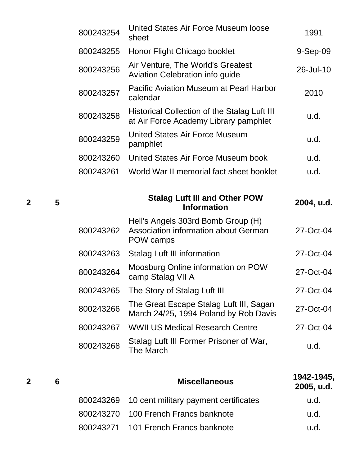| 800243254 | United States Air Force Museum loose<br>sheet                                           | 1991       |
|-----------|-----------------------------------------------------------------------------------------|------------|
| 800243255 | Honor Flight Chicago booklet                                                            | $9-Sep-09$ |
| 800243256 | Air Venture, The World's Greatest<br><b>Aviation Celebration info guide</b>             | 26-Jul-10  |
| 800243257 | Pacific Aviation Museum at Pearl Harbor<br>calendar                                     | 2010       |
| 800243258 | Historical Collection of the Stalag Luft III<br>at Air Force Academy Library pamphlet   | u.d.       |
| 800243259 | United States Air Force Museum<br>pamphlet                                              | u.d.       |
| 800243260 | United States Air Force Museum book                                                     | u.d.       |
| 800243261 | World War II memorial fact sheet booklet                                                | u.d.       |
|           |                                                                                         |            |
|           | <b>Stalag Luft III and Other POW</b><br><b>Information</b>                              | 2004, u.d. |
| 800243262 | Hell's Angels 303rd Bomb Group (H)<br>Association information about German<br>POW camps | 27-Oct-04  |
| 800243263 | <b>Stalag Luft III information</b>                                                      | 27-Oct-04  |
| 800243264 | Moosburg Online information on POW<br>camp Stalag VII A                                 | 27-Oct-04  |
| 800243265 | The Story of Stalag Luft III                                                            | 27-Oct-04  |
| 800243266 | The Great Escape Stalag Luft III, Sagan<br>March 24/25, 1994 Poland by Rob Davis        | 27-Oct-04  |
| 800243267 | <b>WWII US Medical Research Centre</b>                                                  | 27-Oct-04  |

| Stalag Luft III Former Prisoner of War,<br>800243268 The March | u.d. |
|----------------------------------------------------------------|------|
|                                                                |      |

| 6 | <b>Miscellaneous</b>                            | 1942-1945,<br>2005, u.d. |
|---|-------------------------------------------------|--------------------------|
|   | 800243269 10 cent military payment certificates | u.d.                     |
|   | 800243270 100 French Francs banknote            | u.d.                     |
|   | 800243271 101 French Francs banknote            | u.d.                     |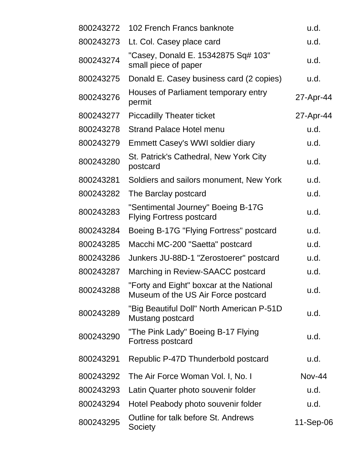| 800243272 | 102 French Francs banknote                                                      | u.d.          |
|-----------|---------------------------------------------------------------------------------|---------------|
| 800243273 | Lt. Col. Casey place card                                                       | u.d.          |
| 800243274 | "Casey, Donald E. 15342875 Sq# 103"<br>small piece of paper                     | u.d.          |
| 800243275 | Donald E. Casey business card (2 copies)                                        | u.d.          |
| 800243276 | Houses of Parliament temporary entry<br>permit                                  | 27-Apr-44     |
| 800243277 | <b>Piccadilly Theater ticket</b>                                                | 27-Apr-44     |
| 800243278 | <b>Strand Palace Hotel menu</b>                                                 | u.d.          |
| 800243279 | <b>Emmett Casey's WWI soldier diary</b>                                         | u.d.          |
| 800243280 | St. Patrick's Cathedral, New York City<br>postcard                              | u.d.          |
| 800243281 | Soldiers and sailors monument, New York                                         | u.d.          |
| 800243282 | The Barclay postcard                                                            | u.d.          |
| 800243283 | "Sentimental Journey" Boeing B-17G<br><b>Flying Fortress postcard</b>           | u.d.          |
| 800243284 | Boeing B-17G "Flying Fortress" postcard                                         | u.d.          |
| 800243285 | Macchi MC-200 "Saetta" postcard                                                 | u.d.          |
| 800243286 | Junkers JU-88D-1 "Zerostoerer" postcard                                         | u.d.          |
| 800243287 | Marching in Review-SAACC postcard                                               | u.d.          |
| 800243288 | "Forty and Eight" boxcar at the National<br>Museum of the US Air Force postcard | u.d.          |
| 800243289 | "Big Beautiful Doll" North American P-51D<br>Mustang postcard                   | u.d.          |
| 800243290 | "The Pink Lady" Boeing B-17 Flying<br>Fortress postcard                         | u.d.          |
| 800243291 | Republic P-47D Thunderbold postcard                                             | u.d.          |
| 800243292 | The Air Force Woman Vol. I, No. I                                               | <b>Nov-44</b> |
| 800243293 | Latin Quarter photo souvenir folder                                             | u.d.          |
| 800243294 | Hotel Peabody photo souvenir folder                                             | u.d.          |
| 800243295 | Outline for talk before St. Andrews<br>Society                                  | 11-Sep-06     |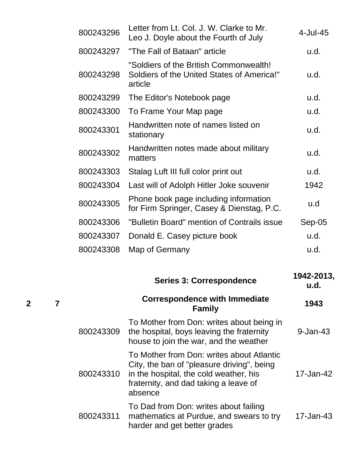| 800243296 | Letter from Lt. Col. J. W. Clarke to Mr.<br>Leo J. Doyle about the Fourth of July               | $4$ -Jul-45 |
|-----------|-------------------------------------------------------------------------------------------------|-------------|
| 800243297 | "The Fall of Bataan" article                                                                    | u.d.        |
| 800243298 | "Soldiers of the British Commonwealth!<br>Soldiers of the United States of America!"<br>article | u.d.        |
| 800243299 | The Editor's Notebook page                                                                      | u.d.        |
| 800243300 | To Frame Your Map page                                                                          | u.d.        |
| 800243301 | Handwritten note of names listed on<br>stationary                                               | u.d.        |
| 800243302 | Handwritten notes made about military<br>matters                                                | u.d.        |
| 800243303 | Stalag Luft III full color print out                                                            | u.d.        |
| 800243304 | Last will of Adolph Hitler Joke souvenir                                                        | 1942        |
| 800243305 | Phone book page including information<br>for Firm Springer, Casey & Dienstag, P.C.              | u.d         |
| 800243306 | "Bulletin Board" mention of Contrails issue                                                     | $Sep-05$    |
| 800243307 | Donald E. Casey picture book                                                                    | u.d.        |
| 800243308 | Map of Germany                                                                                  | u.d.        |
|           |                                                                                                 |             |

|           | <b>Series 3: Correspondence</b>                                                                                                                                                       | 1942-2013,<br>u.d. |
|-----------|---------------------------------------------------------------------------------------------------------------------------------------------------------------------------------------|--------------------|
|           | <b>Correspondence with Immediate</b><br><b>Family</b>                                                                                                                                 | 1943               |
| 800243309 | To Mother from Don: writes about being in<br>the hospital, boys leaving the fraternity<br>house to join the war, and the weather                                                      | $9 - Jan-43$       |
| 800243310 | To Mother from Don: writes about Atlantic<br>City, the ban of "pleasure driving", being<br>in the hospital, the cold weather, his<br>fraternity, and dad taking a leave of<br>absence | 17-Jan-42          |
| 800243311 | To Dad from Don: writes about failing<br>mathematics at Purdue, and swears to try<br>harder and get better grades                                                                     | 17-Jan-43          |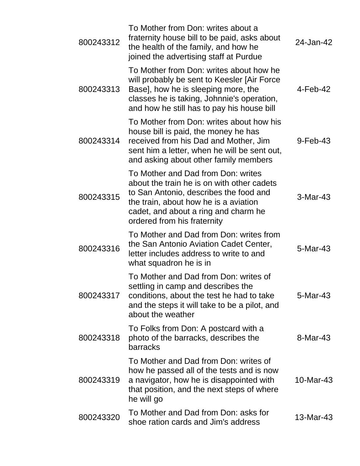| 800243312 | To Mother from Don: writes about a<br>fraternity house bill to be paid, asks about<br>the health of the family, and how he<br>joined the advertising staff at Purdue                                                                       | 24-Jan-42   |
|-----------|--------------------------------------------------------------------------------------------------------------------------------------------------------------------------------------------------------------------------------------------|-------------|
| 800243313 | To Mother from Don: writes about how he<br>will probably be sent to Keesler [Air Force<br>Base], how he is sleeping more, the<br>classes he is taking, Johnnie's operation,<br>and how he still has to pay his house bill                  | $4$ -Feb-42 |
| 800243314 | To Mother from Don: writes about how his<br>house bill is paid, the money he has<br>received from his Dad and Mother, Jim<br>sent him a letter, when he will be sent out,<br>and asking about other family members                         | $9$ -Feb-43 |
| 800243315 | To Mother and Dad from Don: writes<br>about the train he is on with other cadets<br>to San Antonio, describes the food and<br>the train, about how he is a aviation<br>cadet, and about a ring and charm he<br>ordered from his fraternity | 3-Mar-43    |
| 800243316 | To Mother and Dad from Don: writes from<br>the San Antonio Aviation Cadet Center,<br>letter includes address to write to and<br>what squadron he is in                                                                                     | 5-Mar-43    |
| 800243317 | To Mother and Dad from Don: writes of<br>settling in camp and describes the<br>conditions, about the test he had to take<br>and the steps it will take to be a pilot, and<br>about the weather                                             | 5-Mar-43    |
| 800243318 | To Folks from Don: A postcard with a<br>photo of the barracks, describes the<br>barracks                                                                                                                                                   | 8-Mar-43    |
| 800243319 | To Mother and Dad from Don: writes of<br>how he passed all of the tests and is now<br>a navigator, how he is disappointed with<br>that position, and the next steps of where<br>he will go                                                 | 10-Mar-43   |
| 800243320 | To Mother and Dad from Don: asks for<br>shoe ration cards and Jim's address                                                                                                                                                                | 13-Mar-43   |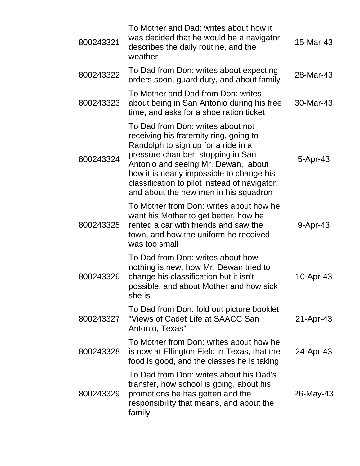| 800243321 | To Mother and Dad: writes about how it<br>was decided that he would be a navigator,<br>describes the daily routine, and the<br>weather                                                                                                                                                                                                 | 15-Mar-43 |
|-----------|----------------------------------------------------------------------------------------------------------------------------------------------------------------------------------------------------------------------------------------------------------------------------------------------------------------------------------------|-----------|
| 800243322 | To Dad from Don: writes about expecting<br>orders soon, guard duty, and about family                                                                                                                                                                                                                                                   | 28-Mar-43 |
| 800243323 | To Mother and Dad from Don: writes<br>about being in San Antonio during his free<br>time, and asks for a shoe ration ticket                                                                                                                                                                                                            | 30-Mar-43 |
| 800243324 | To Dad from Don: writes about not<br>receiving his fraternity ring, going to<br>Randolph to sign up for a ride in a<br>pressure chamber, stopping in San<br>Antonio and seeing Mr. Dewan, about<br>how it is nearly impossible to change his<br>classification to pilot instead of navigator,<br>and about the new men in his squadron | 5-Apr-43  |
| 800243325 | To Mother from Don: writes about how he<br>want his Mother to get better, how he<br>rented a car with friends and saw the<br>town, and how the uniform he received<br>was too small                                                                                                                                                    | 9-Apr-43  |
| 800243326 | To Dad from Don: writes about how<br>nothing is new, how Mr. Dewan tried to<br>change his classification but it isn't<br>possible, and about Mother and how sick<br>she is                                                                                                                                                             | 10-Apr-43 |
| 800243327 | To Dad from Don: fold out picture booklet<br>"Views of Cadet Life at SAACC San<br>Antonio, Texas"                                                                                                                                                                                                                                      | 21-Apr-43 |
| 800243328 | To Mother from Don: writes about how he<br>is now at Ellington Field in Texas, that the<br>food is good, and the classes he is taking                                                                                                                                                                                                  | 24-Apr-43 |
| 800243329 | To Dad from Don: writes about his Dad's<br>transfer, how school is going, about his<br>promotions he has gotten and the<br>responsibility that means, and about the<br>family                                                                                                                                                          | 26-May-43 |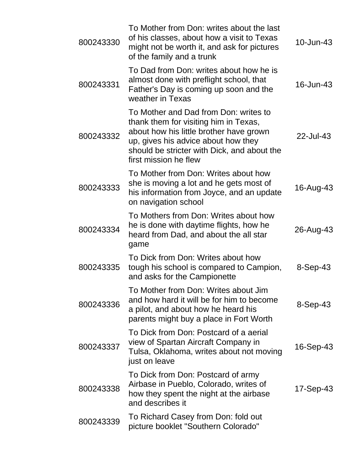| 800243330 | To Mother from Don: writes about the last<br>of his classes, about how a visit to Texas<br>might not be worth it, and ask for pictures<br>of the family and a trunk                                                                      | $10$ -Jun-43 |
|-----------|------------------------------------------------------------------------------------------------------------------------------------------------------------------------------------------------------------------------------------------|--------------|
| 800243331 | To Dad from Don: writes about how he is<br>almost done with preflight school, that<br>Father's Day is coming up soon and the<br>weather in Texas                                                                                         | 16-Jun-43    |
| 800243332 | To Mother and Dad from Don: writes to<br>thank them for visiting him in Texas,<br>about how his little brother have grown<br>up, gives his advice about how they<br>should be stricter with Dick, and about the<br>first mission he flew | 22-Jul-43    |
| 800243333 | To Mother from Don: Writes about how<br>she is moving a lot and he gets most of<br>his information from Joyce, and an update<br>on navigation school                                                                                     | 16-Aug-43    |
| 800243334 | To Mothers from Don: Writes about how<br>he is done with daytime flights, how he<br>heard from Dad, and about the all star<br>game                                                                                                       | 26-Aug-43    |
| 800243335 | To Dick from Don: Writes about how<br>tough his school is compared to Campion,<br>and asks for the Campionette                                                                                                                           | 8-Sep-43     |
| 800243336 | To Mother from Don: Writes about Jim<br>and how hard it will be for him to become<br>a pilot, and about how he heard his<br>parents might buy a place in Fort Worth                                                                      | 8-Sep-43     |
| 800243337 | To Dick from Don: Postcard of a aerial<br>view of Spartan Aircraft Company in<br>Tulsa, Oklahoma, writes about not moving<br>just on leave                                                                                               | 16-Sep-43    |
| 800243338 | To Dick from Don: Postcard of army<br>Airbase in Pueblo, Colorado, writes of<br>how they spent the night at the airbase<br>and describes it                                                                                              | 17-Sep-43    |
| 800243339 | To Richard Casey from Don: fold out<br>picture booklet "Southern Colorado"                                                                                                                                                               |              |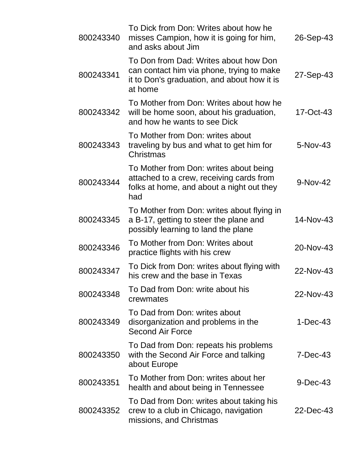| 800243340 | To Dick from Don: Writes about how he<br>misses Campion, how it is going for him,<br>and asks about Jim                                      | 26-Sep-43  |
|-----------|----------------------------------------------------------------------------------------------------------------------------------------------|------------|
| 800243341 | To Don from Dad: Writes about how Don<br>can contact him via phone, trying to make<br>it to Don's graduation, and about how it is<br>at home | 27-Sep-43  |
| 800243342 | To Mother from Don: Writes about how he<br>will be home soon, about his graduation,<br>and how he wants to see Dick                          | 17-Oct-43  |
| 800243343 | To Mother from Don: writes about<br>traveling by bus and what to get him for<br>Christmas                                                    | 5-Nov-43   |
| 800243344 | To Mother from Don: writes about being<br>attached to a crew, receiving cards from<br>folks at home, and about a night out they<br>had       | 9-Nov-42   |
| 800243345 | To Mother from Don: writes about flying in<br>a B-17, getting to steer the plane and<br>possibly learning to land the plane                  | 14-Nov-43  |
| 800243346 | To Mother from Don: Writes about<br>practice flights with his crew                                                                           | 20-Nov-43  |
| 800243347 | To Dick from Don: writes about flying with<br>his crew and the base in Texas                                                                 | 22-Nov-43  |
| 800243348 | To Dad from Don: write about his<br>crewmates                                                                                                | 22-Nov-43  |
| 800243349 | To Dad from Don: writes about<br>disorganization and problems in the<br><b>Second Air Force</b>                                              | $1-Dec-43$ |
| 800243350 | To Dad from Don: repeats his problems<br>with the Second Air Force and talking<br>about Europe                                               | $7-Dec-43$ |
| 800243351 | To Mother from Don: writes about her<br>health and about being in Tennessee                                                                  | $9-Dec-43$ |
| 800243352 | To Dad from Don: writes about taking his<br>crew to a club in Chicago, navigation<br>missions, and Christmas                                 | 22-Dec-43  |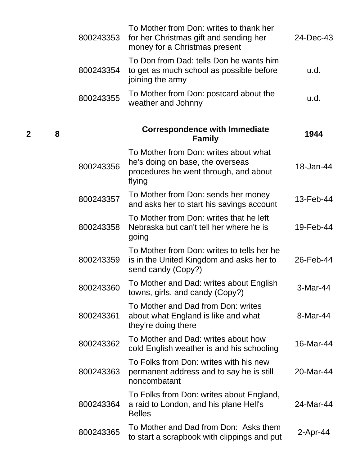| 800243353 | To Mother from Don: writes to thank her<br>for her Christmas gift and sending her<br>money for a Christmas present           | 24-Dec-43   |
|-----------|------------------------------------------------------------------------------------------------------------------------------|-------------|
| 800243354 | To Don from Dad: tells Don he wants him<br>to get as much school as possible before<br>joining the army                      | u.d.        |
| 800243355 | To Mother from Don: postcard about the<br>weather and Johnny                                                                 | u.d.        |
|           | <b>Correspondence with Immediate</b><br><b>Family</b>                                                                        | 1944        |
| 800243356 | To Mother from Don: writes about what<br>he's doing on base, the overseas<br>procedures he went through, and about<br>flying | 18-Jan-44   |
| 800243357 | To Mother from Don: sends her money<br>and asks her to start his savings account                                             | 13-Feb-44   |
| 800243358 | To Mother from Don: writes that he left<br>Nebraska but can't tell her where he is<br>going                                  | 19-Feb-44   |
| 800243359 | To Mother from Don: writes to tells her he<br>is in the United Kingdom and asks her to<br>send candy (Copy?)                 | 26-Feb-44   |
| 800243360 | To Mother and Dad: writes about English<br>towns, girls, and candy (Copy?)                                                   | 3-Mar-44    |
| 800243361 | To Mother and Dad from Don: writes<br>about what England is like and what<br>they're doing there                             | 8-Mar-44    |
| 800243362 | To Mother and Dad: writes about how<br>cold English weather is and his schooling                                             | 16-Mar-44   |
| 800243363 | To Folks from Don: writes with his new<br>permanent address and to say he is still<br>noncombatant                           | 20-Mar-44   |
| 800243364 | To Folks from Don: writes about England,<br>a raid to London, and his plane Hell's<br><b>Belles</b>                          | 24-Mar-44   |
| 800243365 | To Mother and Dad from Don: Asks them<br>to start a scrapbook with clippings and put                                         | $2$ -Apr-44 |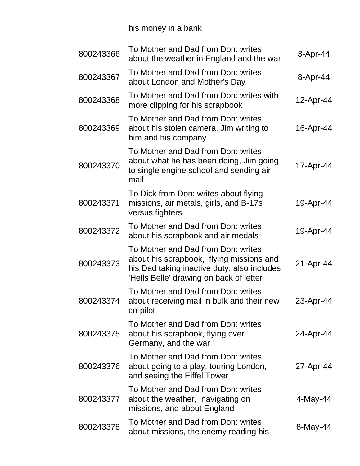# his money in a bank

| 800243366 | To Mother and Dad from Don: writes<br>about the weather in England and the war                                                                                           | $3-Apr-44$  |
|-----------|--------------------------------------------------------------------------------------------------------------------------------------------------------------------------|-------------|
| 800243367 | To Mother and Dad from Don: writes<br>about London and Mother's Day                                                                                                      | 8-Apr-44    |
| 800243368 | To Mother and Dad from Don: writes with<br>more clipping for his scrapbook                                                                                               | 12-Apr-44   |
| 800243369 | To Mother and Dad from Don: writes<br>about his stolen camera, Jim writing to<br>him and his company                                                                     | 16-Apr-44   |
| 800243370 | To Mother and Dad from Don: writes<br>about what he has been doing, Jim going<br>to single engine school and sending air<br>mail                                         | 17-Apr-44   |
| 800243371 | To Dick from Don: writes about flying<br>missions, air metals, girls, and B-17s<br>versus fighters                                                                       | 19-Apr-44   |
| 800243372 | To Mother and Dad from Don: writes<br>about his scrapbook and air medals                                                                                                 | 19-Apr-44   |
| 800243373 | To Mother and Dad from Don: writes<br>about his scrapbook, flying missions and<br>his Dad taking inactive duty, also includes<br>'Hells Belle' drawing on back of letter | 21-Apr-44   |
| 800243374 | To Mother and Dad from Don: writes<br>about receiving mail in bulk and their new<br>co-pilot                                                                             | 23-Apr-44   |
| 800243375 | To Mother and Dad from Don: writes<br>about his scrapbook, flying over<br>Germany, and the war                                                                           | 24-Apr-44   |
| 800243376 | To Mother and Dad from Don: writes<br>about going to a play, touring London,<br>and seeing the Eiffel Tower                                                              | 27-Apr-44   |
| 800243377 | To Mother and Dad from Don: writes<br>about the weather, navigating on<br>missions, and about England                                                                    | $4$ -May-44 |
| 800243378 | To Mother and Dad from Don: writes<br>about missions, the enemy reading his                                                                                              | 8-May-44    |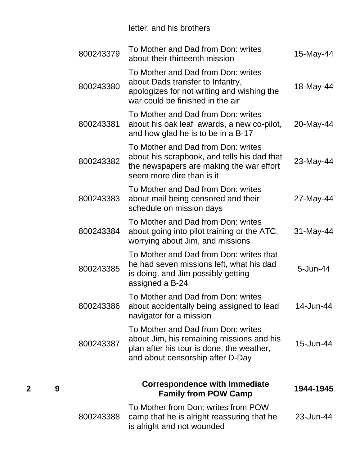## letter, and his brothers

| 800243379 | To Mother and Dad from Don: writes<br>about their thirteenth mission                                                                                             | 15-May-44    |
|-----------|------------------------------------------------------------------------------------------------------------------------------------------------------------------|--------------|
| 800243380 | To Mother and Dad from Don: writes<br>about Dads transfer to Infantry,<br>apologizes for not writing and wishing the<br>war could be finished in the air         | 18-May-44    |
| 800243381 | To Mother and Dad from Don: writes<br>about his oak leaf awards, a new co-pilot,<br>and how glad he is to be in a B-17                                           | 20-May-44    |
| 800243382 | To Mother and Dad from Don: writes<br>about his scrapbook, and tells his dad that<br>the newspapers are making the war effort<br>seem more dire than is it       | 23-May-44    |
| 800243383 | To Mother and Dad from Don: writes<br>about mail being censored and their<br>schedule on mission days                                                            | 27-May-44    |
| 800243384 | To Mother and Dad from Don: writes<br>about going into pilot training or the ATC,<br>worrying about Jim, and missions                                            | $31$ -May-44 |
| 800243385 | To Mother and Dad from Don: writes that<br>he had seven missions left, what his dad<br>is doing, and Jim possibly getting<br>assigned a B-24                     | 5-Jun-44     |
| 800243386 | To Mother and Dad from Don: writes<br>about accidentally being assigned to lead<br>navigator for a mission                                                       | 14-Jun-44    |
| 800243387 | To Mother and Dad from Don: writes<br>about Jim, his remaining missions and his<br>plan after his tour is done, the weather,<br>and about censorship after D-Day | 15-Jun-44    |
|           | <b>Correspondence with Immediate</b><br><b>Family from POW Camp</b>                                                                                              | 1944-1945    |
| 800243388 | To Mother from Don: writes from POW<br>camp that he is alright reassuring that he<br>is alright and not wounded                                                  | 23-Jun-44    |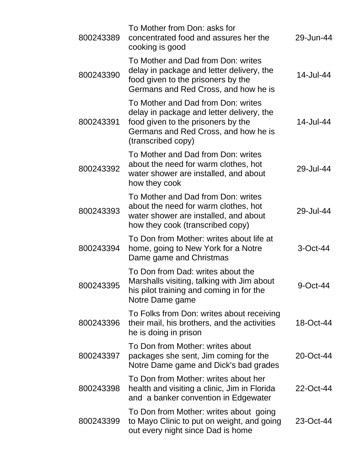| 800243389 | To Mother from Don: asks for<br>concentrated food and assures her the<br>cooking is good                                                                                            | 29-Jun-44   |
|-----------|-------------------------------------------------------------------------------------------------------------------------------------------------------------------------------------|-------------|
| 800243390 | To Mother and Dad from Don: writes<br>delay in package and letter delivery, the<br>food given to the prisoners by the<br>Germans and Red Cross, and how he is                       | 14-Jul-44   |
| 800243391 | To Mother and Dad from Don: writes<br>delay in package and letter delivery, the<br>food given to the prisoners by the<br>Germans and Red Cross, and how he is<br>(transcribed copy) | 14-Jul-44   |
| 800243392 | To Mother and Dad from Don: writes<br>about the need for warm clothes, hot<br>water shower are installed, and about<br>how they cook                                                | 29-Jul-44   |
| 800243393 | To Mother and Dad from Don: writes<br>about the need for warm clothes, hot<br>water shower are installed, and about<br>how they cook (transcribed copy)                             | 29-Jul-44   |
| 800243394 | To Don from Mother: writes about life at<br>home, going to New York for a Notre<br>Dame game and Christmas                                                                          | 3-Oct-44    |
| 800243395 | To Don from Dad: writes about the<br>Marshalls visiting, talking with Jim about<br>his pilot training and coming in for the<br>Notre Dame game                                      | $9$ -Oct-44 |
| 800243396 | To Folks from Don: writes about receiving<br>their mail, his brothers, and the activities<br>he is doing in prison                                                                  | 18-Oct-44   |
| 800243397 | To Don from Mother: writes about<br>packages she sent, Jim coming for the<br>Notre Dame game and Dick's bad grades                                                                  | 20-Oct-44   |
| 800243398 | To Don from Mother: writes about her<br>health and visiting a clinic, Jim in Florida<br>and a banker convention in Edgewater                                                        | 22-Oct-44   |
| 800243399 | To Don from Mother: writes about going<br>to Mayo Clinic to put on weight, and going<br>out every night since Dad is home                                                           | 23-Oct-44   |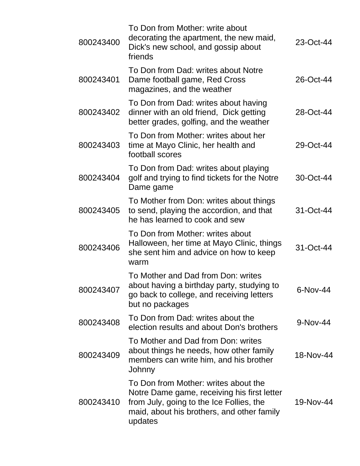| 26-Oct-44  |
|------------|
|            |
| 28-Oct-44  |
| 29-Oct-44  |
| 30-Oct-44  |
| 31-Oct-44  |
| 31-Oct-44  |
| $6-Nov-44$ |
| 9-Nov-44   |
| 18-Nov-44  |
| 19-Nov-44  |
|            |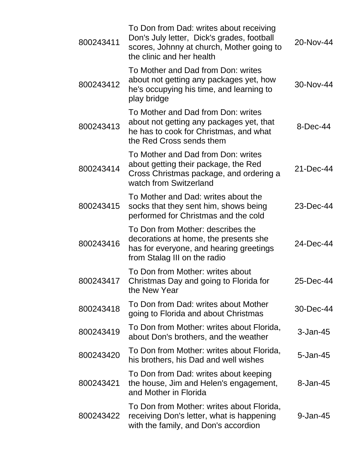| 800243411 | To Don from Dad: writes about receiving<br>Don's July letter, Dick's grades, football<br>scores, Johnny at church, Mother going to<br>the clinic and her health | 20-Nov-44    |
|-----------|-----------------------------------------------------------------------------------------------------------------------------------------------------------------|--------------|
| 800243412 | To Mother and Dad from Don: writes<br>about not getting any packages yet, how<br>he's occupying his time, and learning to<br>play bridge                        | 30-Nov-44    |
| 800243413 | To Mother and Dad from Don: writes<br>about not getting any packages yet, that<br>he has to cook for Christmas, and what<br>the Red Cross sends them            | 8-Dec-44     |
| 800243414 | To Mother and Dad from Don: writes<br>about getting their package, the Red<br>Cross Christmas package, and ordering a<br>watch from Switzerland                 | 21-Dec-44    |
| 800243415 | To Mother and Dad: writes about the<br>socks that they sent him, shows being<br>performed for Christmas and the cold                                            | 23-Dec-44    |
| 800243416 | To Don from Mother: describes the<br>decorations at home, the presents she<br>has for everyone, and hearing greetings<br>from Stalag III on the radio           | 24-Dec-44    |
| 800243417 | To Don from Mother: writes about<br>Christmas Day and going to Florida for<br>the New Year                                                                      | 25-Dec-44    |
| 800243418 | To Don from Dad: writes about Mother<br>going to Florida and about Christmas                                                                                    | 30-Dec-44    |
| 800243419 | To Don from Mother: writes about Florida,<br>about Don's brothers, and the weather                                                                              | 3-Jan-45     |
| 800243420 | To Don from Mother: writes about Florida,<br>his brothers, his Dad and well wishes                                                                              | $5 - Jan-45$ |
| 800243421 | To Don from Dad: writes about keeping<br>the house, Jim and Helen's engagement,<br>and Mother in Florida                                                        | 8-Jan-45     |
| 800243422 | To Don from Mother: writes about Florida,<br>receiving Don's letter, what is happening<br>with the family, and Don's accordion                                  | 9-Jan-45     |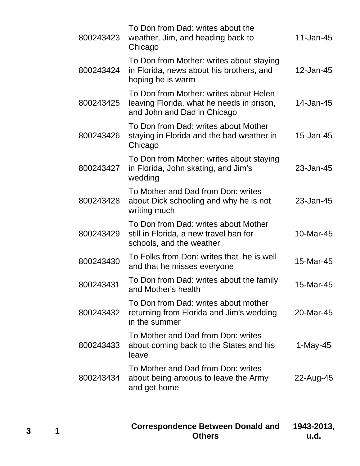| 800243423 | To Don from Dad: writes about the<br>weather, Jim, and heading back to<br>Chicago                                  | 11-Jan-45  |
|-----------|--------------------------------------------------------------------------------------------------------------------|------------|
| 800243424 | To Don from Mother: writes about staying<br>in Florida, news about his brothers, and<br>hoping he is warm          | 12-Jan-45  |
| 800243425 | To Don from Mother: writes about Helen<br>leaving Florida, what he needs in prison,<br>and John and Dad in Chicago | 14-Jan-45  |
| 800243426 | To Don from Dad: writes about Mother<br>staying in Florida and the bad weather in<br>Chicago                       | 15-Jan-45  |
| 800243427 | To Don from Mother: writes about staying<br>in Florida, John skating, and Jim's<br>wedding                         | 23-Jan-45  |
| 800243428 | To Mother and Dad from Don: writes<br>about Dick schooling and why he is not<br>writing much                       | 23-Jan-45  |
| 800243429 | To Don from Dad: writes about Mother<br>still in Florida, a new travel ban for<br>schools, and the weather         | 10-Mar-45  |
| 800243430 | To Folks from Don: writes that he is well<br>and that he misses everyone                                           | 15-Mar-45  |
| 800243431 | To Don from Dad: writes about the family<br>and Mother's health                                                    | 15-Mar-45  |
| 800243432 | To Don from Dad: writes about mother<br>returning from Florida and Jim's wedding<br>in the summer                  | 20-Mar-45  |
| 800243433 | To Mother and Dad from Don: writes<br>about coming back to the States and his<br>leave                             | $1-May-45$ |
| 800243434 | To Mother and Dad from Don: writes<br>about being anxious to leave the Army<br>and get home                        | 22-Aug-45  |
|           |                                                                                                                    |            |

**Correspondence Between Donald and Others 1943-2013, u.d.**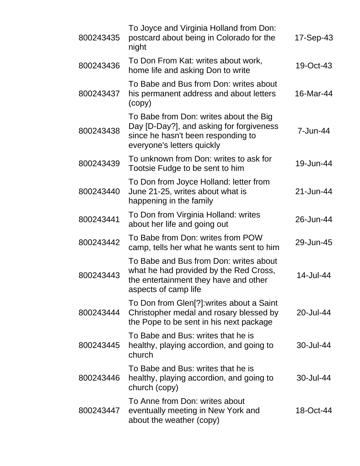| 800243435 | To Joyce and Virginia Holland from Don:<br>postcard about being in Colorado for the<br>night                                                           | 17-Sep-43 |
|-----------|--------------------------------------------------------------------------------------------------------------------------------------------------------|-----------|
| 800243436 | To Don From Kat: writes about work,<br>home life and asking Don to write                                                                               | 19-Oct-43 |
| 800243437 | To Babe and Bus from Don: writes about<br>his permanent address and about letters<br>(copy)                                                            | 16-Mar-44 |
| 800243438 | To Babe from Don: writes about the Big<br>Day [D-Day?], and asking for forgiveness<br>since he hasn't been responding to<br>everyone's letters quickly | 7-Jun-44  |
| 800243439 | To unknown from Don: writes to ask for<br>Tootsie Fudge to be sent to him                                                                              | 19-Jun-44 |
| 800243440 | To Don from Joyce Holland: letter from<br>June 21-25, writes about what is<br>happening in the family                                                  | 21-Jun-44 |
| 800243441 | To Don from Virginia Holland: writes<br>about her life and going out                                                                                   | 26-Jun-44 |
| 800243442 | To Babe from Don: writes from POW<br>camp, tells her what he wants sent to him                                                                         | 29-Jun-45 |
| 800243443 | To Babe and Bus from Don: writes about<br>what he had provided by the Red Cross,<br>the entertainment they have and other<br>aspects of camp life      | 14-Jul-44 |
| 800243444 | To Don from Glen[?]:writes about a Saint<br>Christopher medal and rosary blessed by<br>the Pope to be sent in his next package                         | 20-Jul-44 |
| 800243445 | To Babe and Bus: writes that he is<br>healthy, playing accordion, and going to<br>church                                                               | 30-Jul-44 |
| 800243446 | To Babe and Bus: writes that he is<br>healthy, playing accordion, and going to<br>church (copy)                                                        | 30-Jul-44 |
| 800243447 | To Anne from Don: writes about<br>eventually meeting in New York and<br>about the weather (copy)                                                       | 18-Oct-44 |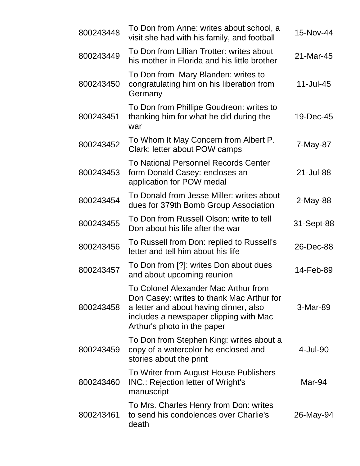| 800243448 | To Don from Anne: writes about school, a<br>visit she had with his family, and football                                                                                                              | 15-Nov-44  |
|-----------|------------------------------------------------------------------------------------------------------------------------------------------------------------------------------------------------------|------------|
| 800243449 | To Don from Lillian Trotter: writes about<br>his mother in Florida and his little brother                                                                                                            | 21-Mar-45  |
| 800243450 | To Don from Mary Blanden: writes to<br>congratulating him on his liberation from<br>Germany                                                                                                          | 11-Jul-45  |
| 800243451 | To Don from Phillipe Goudreon: writes to<br>thanking him for what he did during the<br>war                                                                                                           | 19-Dec-45  |
| 800243452 | To Whom It May Concern from Albert P.<br>Clark: letter about POW camps                                                                                                                               | 7-May-87   |
| 800243453 | To National Personnel Records Center<br>form Donald Casey: encloses an<br>application for POW medal                                                                                                  | 21-Jul-88  |
| 800243454 | To Donald from Jesse Miller: writes about<br>dues for 379th Bomb Group Association                                                                                                                   | $2-May-88$ |
| 800243455 | To Don from Russell Olson: write to tell<br>Don about his life after the war                                                                                                                         | 31-Sept-88 |
| 800243456 | To Russell from Don: replied to Russell's<br>letter and tell him about his life                                                                                                                      | 26-Dec-88  |
| 800243457 | To Don from [?]: writes Don about dues<br>and about upcoming reunion                                                                                                                                 | 14-Feb-89  |
| 800243458 | To Colonel Alexander Mac Arthur from<br>Don Casey: writes to thank Mac Arthur for<br>a letter and about having dinner, also<br>includes a newspaper clipping with Mac<br>Arthur's photo in the paper | 3-Mar-89   |
| 800243459 | To Don from Stephen King: writes about a<br>copy of a watercolor he enclosed and<br>stories about the print                                                                                          | 4-Jul-90   |
| 800243460 | To Writer from August House Publishers<br><b>INC.: Rejection letter of Wright's</b><br>manuscript                                                                                                    | Mar-94     |
| 800243461 | To Mrs. Charles Henry from Don: writes<br>to send his condolences over Charlie's<br>death                                                                                                            | 26-May-94  |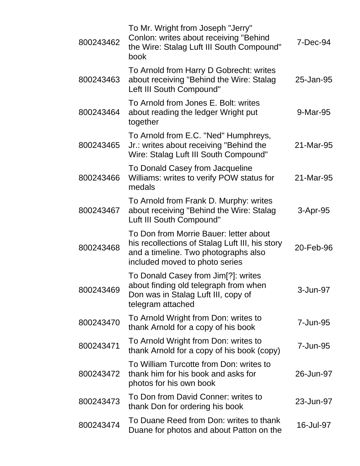| 800243462 | To Mr. Wright from Joseph "Jerry"<br>Conlon: writes about receiving "Behind<br>the Wire: Stalag Luft III South Compound"<br>book                                    | 7-Dec-94  |
|-----------|---------------------------------------------------------------------------------------------------------------------------------------------------------------------|-----------|
| 800243463 | To Arnold from Harry D Gobrecht: writes<br>about receiving "Behind the Wire: Stalag<br>Left III South Compound"                                                     | 25-Jan-95 |
| 800243464 | To Arnold from Jones E. Bolt: writes<br>about reading the ledger Wright put<br>together                                                                             | 9-Mar-95  |
| 800243465 | To Arnold from E.C. "Ned" Humphreys,<br>Jr.: writes about receiving "Behind the<br>Wire: Stalag Luft III South Compound"                                            | 21-Mar-95 |
| 800243466 | To Donald Casey from Jacqueline<br>Williams: writes to verify POW status for<br>medals                                                                              | 21-Mar-95 |
| 800243467 | To Arnold from Frank D. Murphy: writes<br>about receiving "Behind the Wire: Stalag<br>Luft III South Compound"                                                      | 3-Apr-95  |
| 800243468 | To Don from Morrie Bauer: letter about<br>his recollections of Stalag Luft III, his story<br>and a timeline. Two photographs also<br>included moved to photo series | 20-Feb-96 |
| 800243469 | To Donald Casey from Jim[?]: writes<br>about finding old telegraph from when<br>Don was in Stalag Luft III, copy of<br>telegram attached                            | 3-Jun-97  |
| 800243470 | To Arnold Wright from Don: writes to<br>thank Arnold for a copy of his book                                                                                         | 7-Jun-95  |
| 800243471 | To Arnold Wright from Don: writes to<br>thank Arnold for a copy of his book (copy)                                                                                  | 7-Jun-95  |
| 800243472 | To William Turcotte from Don: writes to<br>thank him for his book and asks for<br>photos for his own book                                                           | 26-Jun-97 |
| 800243473 | To Don from David Conner: writes to<br>thank Don for ordering his book                                                                                              | 23-Jun-97 |
| 800243474 | To Duane Reed from Don: writes to thank<br>Duane for photos and about Patton on the                                                                                 | 16-Jul-97 |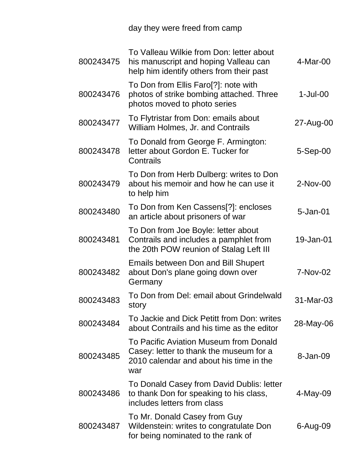day they were freed from camp

| 800243475 | To Valleau Wilkie from Don: letter about<br>his manuscript and hoping Valleau can<br>help him identify others from their past       | 4-Mar-00    |
|-----------|-------------------------------------------------------------------------------------------------------------------------------------|-------------|
| 800243476 | To Don from Ellis Faro <sup>[?]</sup> : note with<br>photos of strike bombing attached. Three<br>photos moved to photo series       | $1$ -Jul-00 |
| 800243477 | To Flytristar from Don: emails about<br><b>William Holmes, Jr. and Contrails</b>                                                    | 27-Aug-00   |
| 800243478 | To Donald from George F. Armington:<br>letter about Gordon E. Tucker for<br>Contrails                                               | $5-Sep-00$  |
| 800243479 | To Don from Herb Dulberg: writes to Don<br>about his memoir and how he can use it<br>to help him                                    | 2-Nov-00    |
| 800243480 | To Don from Ken Cassens[?]: encloses<br>an article about prisoners of war                                                           | 5-Jan-01    |
| 800243481 | To Don from Joe Boyle: letter about<br>Contrails and includes a pamphlet from<br>the 20th POW reunion of Stalag Left III            | 19-Jan-01   |
| 800243482 | <b>Emails between Don and Bill Shupert</b><br>about Don's plane going down over<br>Germany                                          | 7-Nov-02    |
| 800243483 | To Don from Del: email about Grindelwald<br>story                                                                                   | 31-Mar-03   |
| 800243484 | To Jackie and Dick Petitt from Don: writes<br>about Contrails and his time as the editor                                            | 28-May-06   |
| 800243485 | To Pacific Aviation Museum from Donald<br>Casey: letter to thank the museum for a<br>2010 calendar and about his time in the<br>war | 8-Jan-09    |
| 800243486 | To Donald Casey from David Dublis: letter<br>to thank Don for speaking to his class,<br>includes letters from class                 | 4-May-09    |
| 800243487 | To Mr. Donald Casey from Guy<br>Wildenstein: writes to congratulate Don<br>for being nominated to the rank of                       | 6-Aug-09    |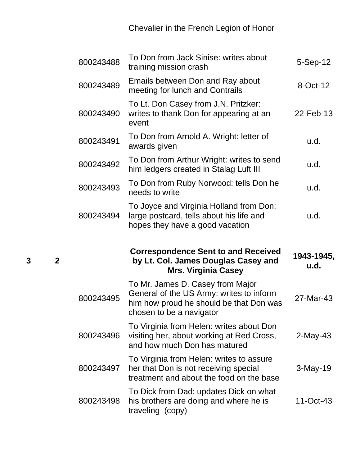Chevalier in the French Legion of Honor

| 800243488 | To Don from Jack Sinise: writes about<br>training mission crash                                                                                     | $5-Sep-12$         |
|-----------|-----------------------------------------------------------------------------------------------------------------------------------------------------|--------------------|
| 800243489 | Emails between Don and Ray about<br>meeting for lunch and Contrails                                                                                 | 8-Oct-12           |
| 800243490 | To Lt. Don Casey from J.N. Pritzker:<br>writes to thank Don for appearing at an<br>event                                                            | 22-Feb-13          |
| 800243491 | To Don from Arnold A. Wright: letter of<br>awards given                                                                                             | u.d.               |
| 800243492 | To Don from Arthur Wright: writes to send<br>him ledgers created in Stalag Luft III                                                                 | u.d.               |
| 800243493 | To Don from Ruby Norwood: tells Don he<br>needs to write                                                                                            | u.d.               |
| 800243494 | To Joyce and Virginia Holland from Don:<br>large postcard, tells about his life and<br>hopes they have a good vacation                              | u.d.               |
|           |                                                                                                                                                     |                    |
|           | <b>Correspondence Sent to and Received</b><br>by Lt. Col. James Douglas Casey and<br><b>Mrs. Virginia Casey</b>                                     | 1943-1945,<br>u.d. |
| 800243495 | To Mr. James D. Casey from Major<br>General of the US Army: writes to inform<br>him how proud he should be that Don was<br>chosen to be a navigator | 27-Mar-43          |
| 800243496 | To Virginia from Helen: writes about Don<br>visiting her, about working at Red Cross,<br>and how much Don has matured                               | $2$ -May-43        |
| 800243497 | To Virginia from Helen: writes to assure<br>her that Don is not receiving special<br>treatment and about the food on the base                       | $3-May-19$         |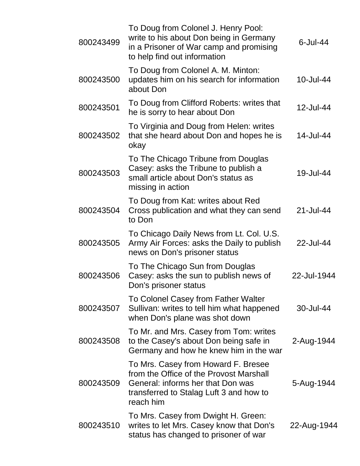| 800243499 | To Doug from Colonel J. Henry Pool:<br>write to his about Don being in Germany<br>in a Prisoner of War camp and promising<br>to help find out information                   | $6$ -Jul-44 |
|-----------|-----------------------------------------------------------------------------------------------------------------------------------------------------------------------------|-------------|
| 800243500 | To Doug from Colonel A. M. Minton:<br>updates him on his search for information<br>about Don                                                                                | 10-Jul-44   |
| 800243501 | To Doug from Clifford Roberts: writes that<br>he is sorry to hear about Don                                                                                                 | 12-Jul-44   |
| 800243502 | To Virginia and Doug from Helen: writes<br>that she heard about Don and hopes he is<br>okay                                                                                 | 14-Jul-44   |
| 800243503 | To The Chicago Tribune from Douglas<br>Casey: asks the Tribune to publish a<br>small article about Don's status as<br>missing in action                                     | 19-Jul-44   |
| 800243504 | To Doug from Kat: writes about Red<br>Cross publication and what they can send<br>to Don                                                                                    | 21-Jul-44   |
| 800243505 | To Chicago Daily News from Lt. Col. U.S.<br>Army Air Forces: asks the Daily to publish<br>news on Don's prisoner status                                                     | 22-Jul-44   |
| 800243506 | To The Chicago Sun from Douglas<br>Casey: asks the sun to publish news of<br>Don's prisoner status                                                                          | 22-Jul-1944 |
| 800243507 | To Colonel Casey from Father Walter<br>Sullivan: writes to tell him what happened<br>when Don's plane was shot down                                                         | 30-Jul-44   |
| 800243508 | To Mr. and Mrs. Casey from Tom: writes<br>to the Casey's about Don being safe in<br>Germany and how he knew him in the war                                                  | 2-Aug-1944  |
| 800243509 | To Mrs. Casey from Howard F. Bresee<br>from the Office of the Provost Marshall<br>General: informs her that Don was<br>transferred to Stalag Luft 3 and how to<br>reach him | 5-Aug-1944  |
| 800243510 | To Mrs. Casey from Dwight H. Green:<br>writes to let Mrs. Casey know that Don's<br>status has changed to prisoner of war                                                    | 22-Aug-1944 |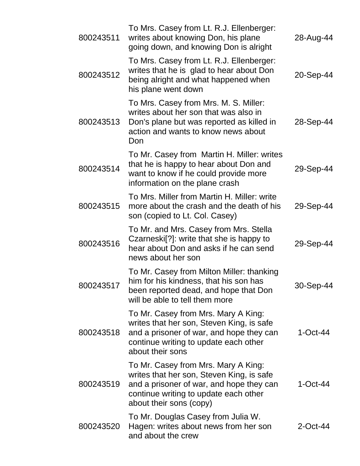| 800243511 | To Mrs. Casey from Lt. R.J. Ellenberger:<br>writes about knowing Don, his plane<br>going down, and knowing Don is alright                                                                        | 28-Aug-44   |
|-----------|--------------------------------------------------------------------------------------------------------------------------------------------------------------------------------------------------|-------------|
| 800243512 | To Mrs. Casey from Lt. R.J. Ellenberger:<br>writes that he is glad to hear about Don<br>being alright and what happened when<br>his plane went down                                              | 20-Sep-44   |
| 800243513 | To Mrs. Casey from Mrs. M. S. Miller:<br>writes about her son that was also in<br>Don's plane but was reported as killed in<br>action and wants to know news about<br>Don                        | 28-Sep-44   |
| 800243514 | To Mr. Casey from Martin H. Miller: writes<br>that he is happy to hear about Don and<br>want to know if he could provide more<br>information on the plane crash                                  | 29-Sep-44   |
| 800243515 | To Mrs. Miller from Martin H. Miller: write<br>more about the crash and the death of his<br>son (copied to Lt. Col. Casey)                                                                       | 29-Sep-44   |
| 800243516 | To Mr. and Mrs. Casey from Mrs. Stella<br>Czarneski <sup>[?]</sup> : write that she is happy to<br>hear about Don and asks if he can send<br>news about her son                                  | 29-Sep-44   |
| 800243517 | To Mr. Casey from Milton Miller: thanking<br>him for his kindness, that his son has<br>been reported dead, and hope that Don<br>will be able to tell them more                                   | 30-Sep-44   |
| 800243518 | To Mr. Casey from Mrs. Mary A King:<br>writes that her son, Steven King, is safe<br>and a prisoner of war, and hope they can<br>continue writing to update each other<br>about their sons        | $1$ -Oct-44 |
| 800243519 | To Mr. Casey from Mrs. Mary A King:<br>writes that her son, Steven King, is safe<br>and a prisoner of war, and hope they can<br>continue writing to update each other<br>about their sons (copy) | $1$ -Oct-44 |
| 800243520 | To Mr. Douglas Casey from Julia W.<br>Hagen: writes about news from her son<br>and about the crew                                                                                                | $2$ -Oct-44 |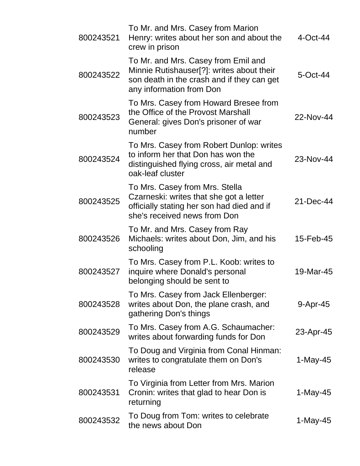| 800243521 | To Mr. and Mrs. Casey from Marion<br>Henry: writes about her son and about the<br>crew in prison                                                           | $4$ -Oct-44 |
|-----------|------------------------------------------------------------------------------------------------------------------------------------------------------------|-------------|
| 800243522 | To Mr. and Mrs. Casey from Emil and<br>Minnie Rutishauser[?]: writes about their<br>son death in the crash and if they can get<br>any information from Don | 5-Oct-44    |
| 800243523 | To Mrs. Casey from Howard Bresee from<br>the Office of the Provost Marshall<br>General: gives Don's prisoner of war<br>number                              | 22-Nov-44   |
| 800243524 | To Mrs. Casey from Robert Dunlop: writes<br>to inform her that Don has won the<br>distinguished flying cross, air metal and<br>oak-leaf cluster            | 23-Nov-44   |
| 800243525 | To Mrs. Casey from Mrs. Stella<br>Czarneski: writes that she got a letter<br>officially stating her son had died and if<br>she's received news from Don    | 21-Dec-44   |
| 800243526 | To Mr. and Mrs. Casey from Ray<br>Michaels: writes about Don, Jim, and his<br>schooling                                                                    | 15-Feb-45   |
| 800243527 | To Mrs. Casey from P.L. Koob: writes to<br>inquire where Donald's personal<br>belonging should be sent to                                                  | 19-Mar-45   |
| 800243528 | To Mrs. Casey from Jack Ellenberger:<br>writes about Don, the plane crash, and<br>gathering Don's things                                                   | 9-Apr-45    |
| 800243529 | To Mrs. Casey from A.G. Schaumacher:<br>writes about forwarding funds for Don                                                                              | 23-Apr-45   |
| 800243530 | To Doug and Virginia from Conal Hinman:<br>writes to congratulate them on Don's<br>release                                                                 | $1-May-45$  |
| 800243531 | To Virginia from Letter from Mrs. Marion<br>Cronin: writes that glad to hear Don is<br>returning                                                           | $1$ -May-45 |
| 800243532 | To Doug from Tom: writes to celebrate<br>the news about Don                                                                                                | 1-May-45    |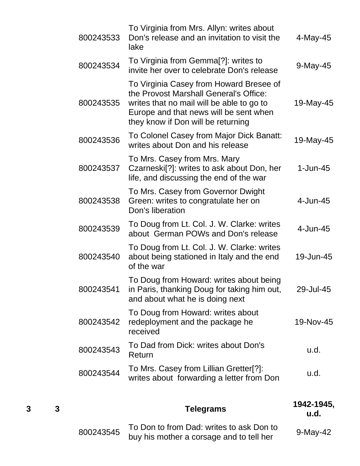| 800243533 | To Virginia from Mrs. Allyn: writes about<br>Don's release and an invitation to visit the<br>lake                                                                                                              | 4-May-45    |
|-----------|----------------------------------------------------------------------------------------------------------------------------------------------------------------------------------------------------------------|-------------|
| 800243534 | To Virginia from Gemma[?]: writes to<br>invite her over to celebrate Don's release                                                                                                                             | 9-May-45    |
| 800243535 | To Virginia Casey from Howard Bresee of<br>the Provost Marshall General's Office:<br>writes that no mail will be able to go to<br>Europe and that news will be sent when<br>they know if Don will be returning | 19-May-45   |
| 800243536 | To Colonel Casey from Major Dick Banatt:<br>writes about Don and his release                                                                                                                                   | 19-May-45   |
| 800243537 | To Mrs. Casey from Mrs. Mary<br>Czarneski <sup>[?]</sup> : writes to ask about Don, her<br>life, and discussing the end of the war                                                                             | $1-Jun-45$  |
| 800243538 | To Mrs. Casey from Governor Dwight<br>Green: writes to congratulate her on<br>Don's liberation                                                                                                                 | $4$ -Jun-45 |
| 800243539 | To Doug from Lt. Col. J. W. Clarke: writes<br>about German POWs and Don's release                                                                                                                              | $4$ -Jun-45 |
| 800243540 | To Doug from Lt. Col. J. W. Clarke: writes<br>about being stationed in Italy and the end<br>of the war                                                                                                         | 19-Jun-45   |
| 800243541 | To Doug from Howard: writes about being<br>in Paris, thanking Doug for taking him out,<br>and about what he is doing next                                                                                      | 29-Jul-45   |
| 800243542 | To Doug from Howard: writes about<br>redeployment and the package he<br>received                                                                                                                               | 19-Nov-45   |
| 800243543 | To Dad from Dick: writes about Don's<br>Return                                                                                                                                                                 | u.d.        |
| 800243544 | To Mrs. Casey from Lillian Gretter[?]:<br>writes about forwarding a letter from Don                                                                                                                            | u.d.        |
|           |                                                                                                                                                                                                                | 4 A 4 F     |

| З |           | <b>Telegrams</b>                                                                     | 1942-1945,<br><b>u.d.</b> |
|---|-----------|--------------------------------------------------------------------------------------|---------------------------|
|   | 800243545 | To Don to from Dad: writes to ask Don to<br>buy his mother a corsage and to tell her | $9-May-42$                |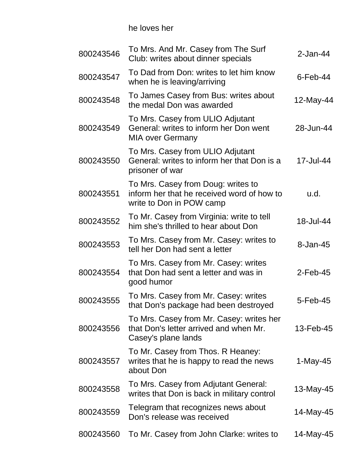he loves her

| 800243546 | To Mrs. And Mr. Casey from The Surf<br>Club: writes about dinner specials                                    | $2$ -Jan-44 |
|-----------|--------------------------------------------------------------------------------------------------------------|-------------|
| 800243547 | To Dad from Don: writes to let him know<br>when he is leaving/arriving                                       | $6$ -Feb-44 |
| 800243548 | To James Casey from Bus: writes about<br>the medal Don was awarded                                           | 12-May-44   |
| 800243549 | To Mrs. Casey from ULIO Adjutant<br>General: writes to inform her Don went<br><b>MIA over Germany</b>        | 28-Jun-44   |
| 800243550 | To Mrs. Casey from ULIO Adjutant<br>General: writes to inform her that Don is a<br>prisoner of war           | 17-Jul-44   |
| 800243551 | To Mrs. Casey from Doug: writes to<br>inform her that he received word of how to<br>write to Don in POW camp | u.d.        |
| 800243552 | To Mr. Casey from Virginia: write to tell<br>him she's thrilled to hear about Don                            | 18-Jul-44   |
| 800243553 | To Mrs. Casey from Mr. Casey: writes to<br>tell her Don had sent a letter                                    | 8-Jan-45    |
| 800243554 | To Mrs. Casey from Mr. Casey: writes<br>that Don had sent a letter and was in<br>good humor                  | $2$ -Feb-45 |
| 800243555 | To Mrs. Casey from Mr. Casey: writes<br>that Don's package had been destroyed                                | 5-Feb-45    |
| 800243556 | To Mrs. Casey from Mr. Casey: writes her<br>that Don's letter arrived and when Mr.<br>Casey's plane lands    | 13-Feb-45   |
| 800243557 | To Mr. Casey from Thos. R Heaney:<br>writes that he is happy to read the news<br>about Don                   | 1-May-45    |
| 800243558 | To Mrs. Casey from Adjutant General:<br>writes that Don is back in military control                          | 13-May-45   |
| 800243559 | Telegram that recognizes news about<br>Don's release was received                                            | 14-May-45   |
| 800243560 | To Mr. Casey from John Clarke: writes to                                                                     | 14-May-45   |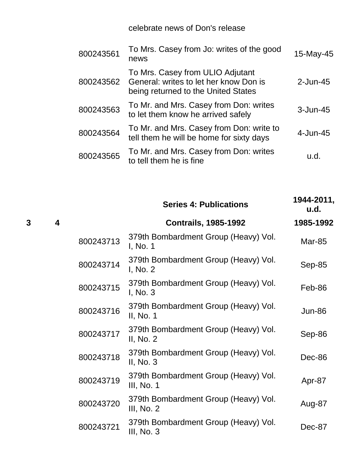celebrate news of Don's release

| 800243561 | To Mrs. Casey from Jo: writes of the good<br>news                                                                 | 15-May-45    |
|-----------|-------------------------------------------------------------------------------------------------------------------|--------------|
| 800243562 | To Mrs. Casey from ULIO Adjutant<br>General: writes to let her know Don is<br>being returned to the United States | $2$ -Jun-45  |
| 800243563 | To Mr. and Mrs. Casey from Don: writes<br>to let them know he arrived safely                                      | $3 - Jun-45$ |
| 800243564 | To Mr. and Mrs. Casey from Don: write to<br>tell them he will be home for sixty days                              | $4$ -Jun-45  |
| 800243565 | To Mr. and Mrs. Casey from Don: writes<br>to tell them he is fine                                                 | u.d.         |

|   |                         |           | <b>Series 4: Publications</b>                       | 1944-2011,<br>u.d. |
|---|-------------------------|-----------|-----------------------------------------------------|--------------------|
| 3 | $\overline{\mathbf{4}}$ |           | <b>Contrails, 1985-1992</b>                         | 1985-1992          |
|   |                         | 800243713 | 379th Bombardment Group (Heavy) Vol.<br>I, No. 1    | <b>Mar-85</b>      |
|   |                         | 800243714 | 379th Bombardment Group (Heavy) Vol.<br>I, No. 2    | Sep-85             |
|   |                         | 800243715 | 379th Bombardment Group (Heavy) Vol.<br>I, No. 3    | Feb-86             |
|   |                         | 800243716 | 379th Bombardment Group (Heavy) Vol.<br>II, No. 1   | <b>Jun-86</b>      |
|   |                         | 800243717 | 379th Bombardment Group (Heavy) Vol.<br>II, No. 2   | Sep-86             |
|   |                         | 800243718 | 379th Bombardment Group (Heavy) Vol.<br>II, $No. 3$ | Dec-86             |
|   |                         | 800243719 | 379th Bombardment Group (Heavy) Vol.<br>III, No. 1  | Apr-87             |
|   |                         | 800243720 | 379th Bombardment Group (Heavy) Vol.<br>III, No. 2  | Aug-87             |
|   |                         | 800243721 | 379th Bombardment Group (Heavy) Vol.<br>III, No. 3  | Dec-87             |
|   |                         |           |                                                     |                    |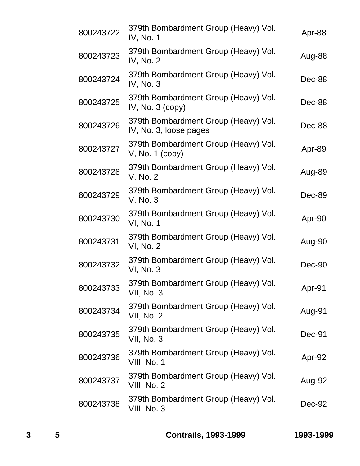| 800243722 | 379th Bombardment Group (Heavy) Vol.<br>IV, No. 1              | Apr-88 |
|-----------|----------------------------------------------------------------|--------|
| 800243723 | 379th Bombardment Group (Heavy) Vol.<br>IV, No. 2              | Aug-88 |
| 800243724 | 379th Bombardment Group (Heavy) Vol.<br>IV, No. 3              | Dec-88 |
| 800243725 | 379th Bombardment Group (Heavy) Vol.<br>IV, No. $3$ (copy)     | Dec-88 |
| 800243726 | 379th Bombardment Group (Heavy) Vol.<br>IV, No. 3, loose pages | Dec-88 |
| 800243727 | 379th Bombardment Group (Heavy) Vol.<br>$V$ , No. 1 (copy)     | Apr-89 |
| 800243728 | 379th Bombardment Group (Heavy) Vol.<br>V, No. 2               | Aug-89 |
| 800243729 | 379th Bombardment Group (Heavy) Vol.<br>V, No. 3               | Dec-89 |
| 800243730 | 379th Bombardment Group (Heavy) Vol.<br>VI, No. 1              | Apr-90 |
| 800243731 | 379th Bombardment Group (Heavy) Vol.<br>VI, No. 2              | Aug-90 |
| 800243732 | 379th Bombardment Group (Heavy) Vol.<br>VI, No. 3              | Dec-90 |
| 800243733 | 379th Bombardment Group (Heavy) Vol.<br>VII, No. 3             | Apr-91 |
| 800243734 | 379th Bombardment Group (Heavy) Vol.<br><b>VII, No. 2</b>      | Aug-91 |
| 800243735 | 379th Bombardment Group (Heavy) Vol.<br><b>VII, No. 3</b>      | Dec-91 |
| 800243736 | 379th Bombardment Group (Heavy) Vol.<br>VIII, No. 1            | Apr-92 |
| 800243737 | 379th Bombardment Group (Heavy) Vol.<br>VIII, No. 2            | Aug-92 |
| 800243738 | 379th Bombardment Group (Heavy) Vol.<br>VIII, No. 3            | Dec-92 |
|           |                                                                |        |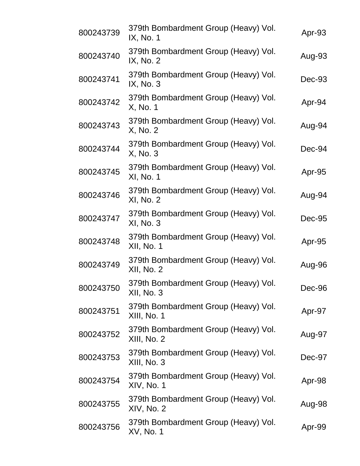| 800243739 | 379th Bombardment Group (Heavy) Vol.<br>IX, No. 1         | Apr-93 |
|-----------|-----------------------------------------------------------|--------|
| 800243740 | 379th Bombardment Group (Heavy) Vol.<br>IX, No. 2         | Aug-93 |
| 800243741 | 379th Bombardment Group (Heavy) Vol.<br>IX, No. 3         | Dec-93 |
| 800243742 | 379th Bombardment Group (Heavy) Vol.<br>X, No. 1          | Apr-94 |
| 800243743 | 379th Bombardment Group (Heavy) Vol.<br>X, No. 2          | Aug-94 |
| 800243744 | 379th Bombardment Group (Heavy) Vol.<br>X, No. 3          | Dec-94 |
| 800243745 | 379th Bombardment Group (Heavy) Vol.<br>XI, No. 1         | Apr-95 |
| 800243746 | 379th Bombardment Group (Heavy) Vol.<br>XI, No. 2         | Aug-94 |
| 800243747 | 379th Bombardment Group (Heavy) Vol.<br>XI, No. 3         | Dec-95 |
| 800243748 | 379th Bombardment Group (Heavy) Vol.<br><b>XII, No. 1</b> | Apr-95 |
| 800243749 | 379th Bombardment Group (Heavy) Vol.<br>XII, No. 2        | Aug-96 |
| 800243750 | 379th Bombardment Group (Heavy) Vol.<br><b>XII, No. 3</b> | Dec-96 |
| 800243751 | 379th Bombardment Group (Heavy) Vol.<br>XIII, No. 1       | Apr-97 |
| 800243752 | 379th Bombardment Group (Heavy) Vol.<br>XIII, No. 2       | Aug-97 |
| 800243753 | 379th Bombardment Group (Heavy) Vol.<br>XIII, No. 3       | Dec-97 |
| 800243754 | 379th Bombardment Group (Heavy) Vol.<br>XIV, No. 1        | Apr-98 |
| 800243755 | 379th Bombardment Group (Heavy) Vol.<br>XIV, No. 2        | Aug-98 |
| 800243756 | 379th Bombardment Group (Heavy) Vol.<br>XV, No. 1         | Apr-99 |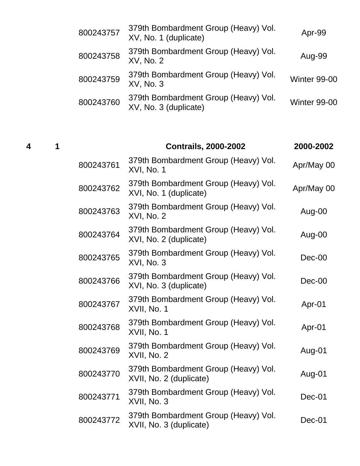| 800243757 | 379th Bombardment Group (Heavy) Vol.<br>XV, No. 1 (duplicate) | Apr-99              |
|-----------|---------------------------------------------------------------|---------------------|
| 800243758 | 379th Bombardment Group (Heavy) Vol.<br>XV, No. 2             | Aug-99              |
| 800243759 | 379th Bombardment Group (Heavy) Vol.<br>XV, No. 3             | Winter 99-00        |
| 800243760 | 379th Bombardment Group (Heavy) Vol.<br>XV, No. 3 (duplicate) | <b>Winter 99-00</b> |

# **4 1 Contrails, 2000-2002 2000-2002**

| 800243761 | 379th Bombardment Group (Heavy) Vol.<br>XVI, No. 1              | Apr/May 00 |
|-----------|-----------------------------------------------------------------|------------|
| 800243762 | 379th Bombardment Group (Heavy) Vol.<br>XVI, No. 1 (duplicate)  | Apr/May 00 |
| 800243763 | 379th Bombardment Group (Heavy) Vol.<br><b>XVI, No. 2</b>       | Aug-00     |
| 800243764 | 379th Bombardment Group (Heavy) Vol.<br>XVI, No. 2 (duplicate)  | Aug-00     |
| 800243765 | 379th Bombardment Group (Heavy) Vol.<br>XVI, No. 3              | $Dec-00$   |
| 800243766 | 379th Bombardment Group (Heavy) Vol.<br>XVI, No. 3 (duplicate)  | $Dec-00$   |
| 800243767 | 379th Bombardment Group (Heavy) Vol.<br>XVII, No. 1             | Apr-01     |
| 800243768 | 379th Bombardment Group (Heavy) Vol.<br>XVII, No. 1             | Apr-01     |
| 800243769 | 379th Bombardment Group (Heavy) Vol.<br>XVII, No. 2             | Aug-01     |
| 800243770 | 379th Bombardment Group (Heavy) Vol.<br>XVII, No. 2 (duplicate) | Aug-01     |
| 800243771 | 379th Bombardment Group (Heavy) Vol.<br>XVII, No. 3             | $Dec-01$   |
| 800243772 | 379th Bombardment Group (Heavy) Vol.<br>XVII, No. 3 (duplicate) | $Dec-01$   |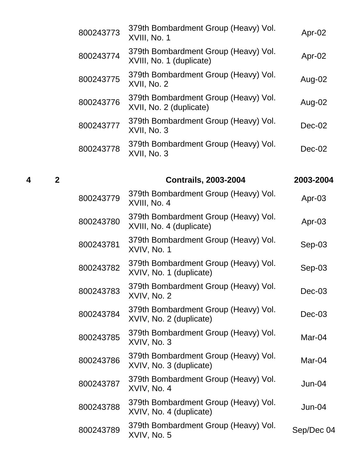| 379th Bombardment Group (Heavy) Vol.<br>XVIII, No. 1             | Apr-02   |
|------------------------------------------------------------------|----------|
| 379th Bombardment Group (Heavy) Vol.<br>XVIII, No. 1 (duplicate) | Apr-02   |
| 379th Bombardment Group (Heavy) Vol.<br>XVII, No. 2              | Aug-02   |
| 379th Bombardment Group (Heavy) Vol.<br>XVII, No. 2 (duplicate)  | Aug-02   |
| 379th Bombardment Group (Heavy) Vol.<br>XVII, No. 3              | $Dec-02$ |
| 379th Bombardment Group (Heavy) Vol.<br>XVII, No. 3              | Dec-02   |
|                                                                  |          |

**4 2 Contrails, 2003-2004 2003-2004**  $800243779$  379th Bombardment Group (Heavy) Vol.  $37$  3th Bombardment Group (ricavy) vol.  $\frac{4}{3}$ Apr-03 <sup>800243780</sup> 379th Bombardment Group (Heavy) Vol. Should Bombard members of cheavy voi. Apr-03<br>XVIII, No. 4 (duplicate) 800243781 379th Bombardment Group (Heavy) Vol. Short Bombardment Group (ricavy) voi. Sep-03<br>XVIV, No. 1 <sup>800243782</sup> 379th Bombardment Group (Heavy) Vol. Sep-03<br>XVIV, No. 1 (duplicate)  $800243783$  379th Bombardment Group (Heavy) Vol. 37 Stri Bombardment Group (rieavy) voi. Dec-03<br>XVIV, No. 2 <sup>800243784</sup> 379th Bombardment Group (Heavy) Vol. Si'll Bombardment Study (Heavy) voi. Dec-03<br>XVIV, No. 2 (duplicate)  $800243785$  379th Bombardment Group (Heavy) Vol. 37 Stri Bombardment Group (rieavy) voi. Mar-04<br>XVIV, No. 3 <sup>800243786</sup> 379th Bombardment Group (Heavy) Vol. Should Bombard montrial Study, Vol. Mar-04<br>XVIV, No. 3 (duplicate)  $800243787$  379th Bombardment Group (Heavy) Vol. 37 Stri Bombardment Group (rieavy) voi. Jun-04<br>XVIV, No. 4 800243788 379th Bombardment Group (Heavy) Vol. XVIV, No. 4 (duplicate) Jun-04  $800243789$  379th Bombardment Group (Heavy) Vol. or stri Bombardment Group (ricavy) voi. Sep/Dec 04<br>XVIV, No. 5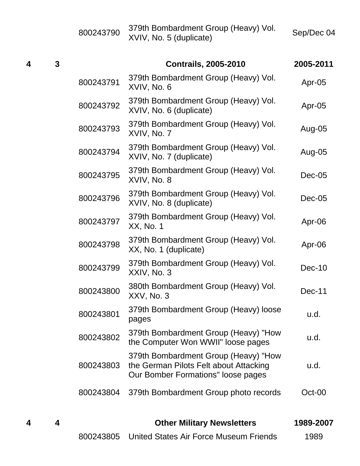|   |   | 800243790 | 379th Bombardment Group (Heavy) Vol.<br>XVIV, No. 5 (duplicate)                                                      | Sep/Dec 04 |
|---|---|-----------|----------------------------------------------------------------------------------------------------------------------|------------|
| 4 | 3 |           | <b>Contrails, 2005-2010</b>                                                                                          | 2005-2011  |
|   |   | 800243791 | 379th Bombardment Group (Heavy) Vol.<br>XVIV, No. 6                                                                  | Apr-05     |
|   |   | 800243792 | 379th Bombardment Group (Heavy) Vol.<br>XVIV, No. 6 (duplicate)                                                      | Apr-05     |
|   |   | 800243793 | 379th Bombardment Group (Heavy) Vol.<br>XVIV, No. 7                                                                  | Aug-05     |
|   |   | 800243794 | 379th Bombardment Group (Heavy) Vol.<br>XVIV, No. 7 (duplicate)                                                      | Aug-05     |
|   |   | 800243795 | 379th Bombardment Group (Heavy) Vol.<br>XVIV, No. 8                                                                  | $Dec-05$   |
|   |   | 800243796 | 379th Bombardment Group (Heavy) Vol.<br>XVIV, No. 8 (duplicate)                                                      | $Dec-05$   |
|   |   | 800243797 | 379th Bombardment Group (Heavy) Vol.<br>XX, No. 1                                                                    | Apr-06     |
|   |   | 800243798 | 379th Bombardment Group (Heavy) Vol.<br>XX, No. 1 (duplicate)                                                        | Apr-06     |
|   |   | 800243799 | 379th Bombardment Group (Heavy) Vol.<br>XXIV, No. 3                                                                  | $Dec-10$   |
|   |   | 800243800 | 380th Bombardment Group (Heavy) Vol.<br>XXV, No. 3                                                                   | Dec-11     |
|   |   | 800243801 | 379th Bombardment Group (Heavy) loose<br>pages                                                                       | u.d.       |
|   |   | 800243802 | 379th Bombardment Group (Heavy) "How<br>the Computer Won WWII" loose pages                                           | u.d.       |
|   |   | 800243803 | 379th Bombardment Group (Heavy) "How<br>the German Pilots Felt about Attacking<br>Our Bomber Formations" loose pages | u.d.       |
|   |   | 800243804 | 379th Bombardment Group photo records                                                                                | Oct-00     |
|   |   |           |                                                                                                                      |            |

| 4 |  | <b>Other Military Newsletters</b>                |      |  |
|---|--|--------------------------------------------------|------|--|
|   |  | 800243805 United States Air Force Museum Friends | 1989 |  |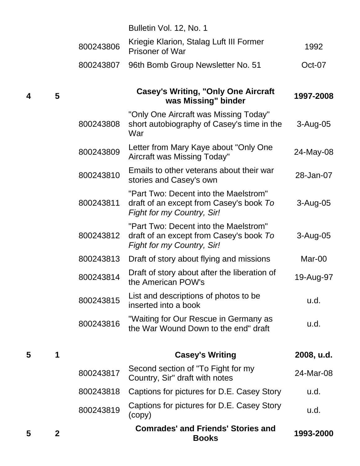|   |              |           | Bulletin Vol. 12, No. 1                                                                                        |              |
|---|--------------|-----------|----------------------------------------------------------------------------------------------------------------|--------------|
|   |              | 800243806 | Kriegie Klarion, Stalag Luft III Former<br><b>Prisoner of War</b>                                              | 1992         |
|   |              | 800243807 | 96th Bomb Group Newsletter No. 51                                                                              | Oct-07       |
| 4 | 5            |           | <b>Casey's Writing, "Only One Aircraft</b><br>was Missing" binder                                              | 1997-2008    |
|   |              | 800243808 | "Only One Aircraft was Missing Today"<br>short autobiography of Casey's time in the<br>War                     | 3-Aug-05     |
|   |              | 800243809 | Letter from Mary Kaye about "Only One<br>Aircraft was Missing Today"                                           | 24-May-08    |
|   |              | 800243810 | Emails to other veterans about their war<br>stories and Casey's own                                            | 28-Jan-07    |
|   |              | 800243811 | "Part Two: Decent into the Maelstrom"<br>draft of an except from Casey's book To<br>Fight for my Country, Sir! | $3 - Aug-05$ |
|   |              | 800243812 | "Part Two: Decent into the Maelstrom"<br>draft of an except from Casey's book To<br>Fight for my Country, Sir! | $3 - Aug-05$ |
|   |              | 800243813 | Draft of story about flying and missions                                                                       | Mar-00       |
|   |              | 800243814 | Draft of story about after the liberation of<br>the American POW's                                             | 19-Aug-97    |
|   |              | 800243815 | List and descriptions of photos to be<br>inserted into a book                                                  | u.d.         |
|   |              | 800243816 | "Waiting for Our Rescue in Germany as<br>the War Wound Down to the end" draft                                  | u.d.         |
| 5 | 1            |           | <b>Casey's Writing</b>                                                                                         | 2008, u.d.   |
|   |              | 800243817 | Second section of "To Fight for my<br>Country, Sir" draft with notes                                           | 24-Mar-08    |
|   |              | 800243818 | Captions for pictures for D.E. Casey Story                                                                     | u.d.         |
|   |              | 800243819 | Captions for pictures for D.E. Casey Story<br>(copy)                                                           | u.d.         |
| 5 | $\mathbf{2}$ |           | <b>Comrades' and Friends' Stories and</b><br><b>Books</b>                                                      | 1993-2000    |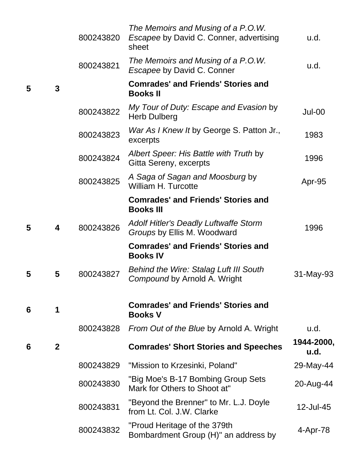|   |              | 800243820 | The Memoirs and Musing of a P.O.W.<br>Escapee by David C. Conner, advertising<br>sheet | u.d.               |
|---|--------------|-----------|----------------------------------------------------------------------------------------|--------------------|
|   |              | 800243821 | The Memoirs and Musing of a P.O.W.<br><b>Escapee by David C. Conner</b>                | u.d.               |
| 5 | 3            |           | <b>Comrades' and Friends' Stories and</b><br><b>Books II</b>                           |                    |
|   |              | 800243822 | My Tour of Duty: Escape and Evasion by<br><b>Herb Dulberg</b>                          | Jul-00             |
|   |              | 800243823 | War As I Knew It by George S. Patton Jr.,<br>excerpts                                  | 1983               |
|   |              | 800243824 | Albert Speer: His Battle with Truth by<br>Gitta Sereny, excerpts                       | 1996               |
|   |              | 800243825 | A Saga of Sagan and Moosburg by<br><b>William H. Turcotte</b>                          | Apr-95             |
|   |              |           | <b>Comrades' and Friends' Stories and</b><br><b>Books III</b>                          |                    |
| 5 | 4            | 800243826 | <b>Adolf Hitler's Deadly Luftwaffe Storm</b><br>Groups by Ellis M. Woodward            | 1996               |
|   |              |           | <b>Comrades' and Friends' Stories and</b><br><b>Books IV</b>                           |                    |
| 5 | 5            | 800243827 | <b>Behind the Wire: Stalag Luft III South</b><br>Compound by Arnold A. Wright          | 31-May-93          |
| 6 | 1            |           | <b>Comrades' and Friends' Stories and</b><br><b>Books V</b>                            |                    |
|   |              | 800243828 | From Out of the Blue by Arnold A. Wright                                               | u.d.               |
| 6 | $\mathbf{2}$ |           | <b>Comrades' Short Stories and Speeches</b>                                            | 1944-2000,<br>u.d. |
|   |              | 800243829 | "Mission to Krzesinki, Poland"                                                         | 29-May-44          |
|   |              | 800243830 | "Big Moe's B-17 Bombing Group Sets<br>Mark for Others to Shoot at"                     | 20-Aug-44          |
|   |              | 800243831 | "Beyond the Brenner" to Mr. L.J. Doyle<br>from Lt. Col. J.W. Clarke                    | 12-Jul-45          |
|   |              | 800243832 | "Proud Heritage of the 379th<br>Bombardment Group (H)" an address by                   | 4-Apr-78           |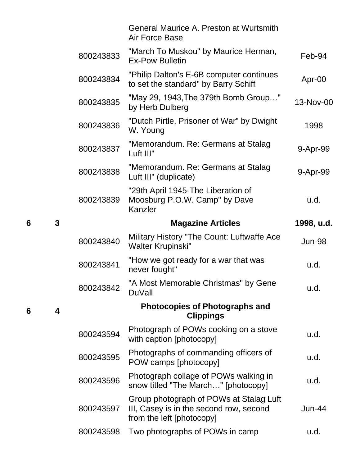|   |   |           | <b>General Maurice A. Preston at Wurtsmith</b><br><b>Air Force Base</b>                                         |            |
|---|---|-----------|-----------------------------------------------------------------------------------------------------------------|------------|
|   |   | 800243833 | "March To Muskou" by Maurice Herman,<br><b>Ex-Pow Bulletin</b>                                                  | Feb-94     |
|   |   | 800243834 | "Philip Dalton's E-6B computer continues<br>to set the standard" by Barry Schiff                                | Apr-00     |
|   |   | 800243835 | "May 29, 1943, The 379th Bomb Group"<br>by Herb Dulberg                                                         | 13-Nov-00  |
|   |   | 800243836 | "Dutch Pirtle, Prisoner of War" by Dwight<br>W. Young                                                           | 1998       |
|   |   | 800243837 | "Memorandum. Re: Germans at Stalag<br>Luft III"                                                                 | 9-Apr-99   |
|   |   | 800243838 | "Memorandum. Re: Germans at Stalag<br>Luft III" (duplicate)                                                     | 9-Apr-99   |
|   |   | 800243839 | "29th April 1945-The Liberation of<br>Moosburg P.O.W. Camp" by Dave<br>Kanzler                                  | u.d.       |
| 6 | 3 |           | <b>Magazine Articles</b>                                                                                        | 1998, u.d. |
|   |   | 800243840 | Military History "The Count: Luftwaffe Ace<br><b>Walter Krupinski"</b>                                          | Jun-98     |
|   |   | 800243841 | "How we got ready for a war that was<br>never fought"                                                           | u.d.       |
|   |   | 800243842 | "A Most Memorable Christmas" by Gene<br><b>DuVall</b>                                                           | u.d.       |
| 6 | 4 |           | <b>Photocopies of Photographs and</b><br><b>Clippings</b>                                                       |            |
|   |   | 800243594 | Photograph of POWs cooking on a stove<br>with caption [photocopy]                                               | u.d.       |
|   |   | 800243595 | Photographs of commanding officers of<br>POW camps [photocopy]                                                  | u.d.       |
|   |   | 800243596 | Photograph collage of POWs walking in<br>snow titled "The March" [photocopy]                                    | u.d.       |
|   |   |           |                                                                                                                 |            |
|   |   | 800243597 | Group photograph of POWs at Stalag Luft<br>III, Casey is in the second row, second<br>from the left [photocopy] | Jun-44     |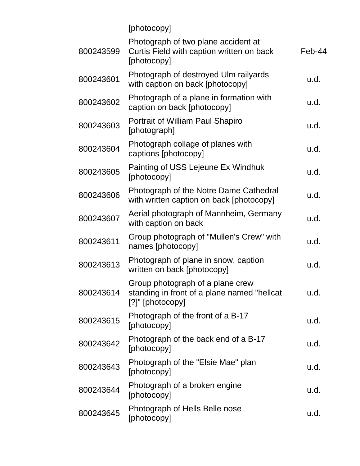|           | [photocopy]                                                                                         |        |
|-----------|-----------------------------------------------------------------------------------------------------|--------|
| 800243599 | Photograph of two plane accident at<br>Curtis Field with caption written on back<br>[photocopy]     | Feb-44 |
| 800243601 | Photograph of destroyed Ulm railyards<br>with caption on back [photocopy]                           | u.d.   |
| 800243602 | Photograph of a plane in formation with<br>caption on back [photocopy]                              | u.d.   |
| 800243603 | Portrait of William Paul Shapiro<br>[photograph]                                                    | u.d.   |
| 800243604 | Photograph collage of planes with<br>captions [photocopy]                                           | u.d.   |
| 800243605 | Painting of USS Lejeune Ex Windhuk<br>[photocopy]                                                   | u.d.   |
| 800243606 | Photograph of the Notre Dame Cathedral<br>with written caption on back [photocopy]                  | u.d.   |
| 800243607 | Aerial photograph of Mannheim, Germany<br>with caption on back                                      | u.d.   |
| 800243611 | Group photograph of "Mullen's Crew" with<br>names [photocopy]                                       | u.d.   |
| 800243613 | Photograph of plane in snow, caption<br>written on back [photocopy]                                 | u.d.   |
| 800243614 | Group photograph of a plane crew<br>standing in front of a plane named "hellcat<br>[?]" [photocopy] | u.d.   |
| 800243615 | Photograph of the front of a B-17<br>[photocopy]                                                    | u.d.   |
| 800243642 | Photograph of the back end of a B-17<br>[photocopy]                                                 | u.d.   |
| 800243643 | Photograph of the "Elsie Mae" plan<br>[photocopy]                                                   | u.d.   |
| 800243644 | Photograph of a broken engine<br>[photocopy]                                                        | u.d.   |
| 800243645 | Photograph of Hells Belle nose<br>[photocopy]                                                       | u.d.   |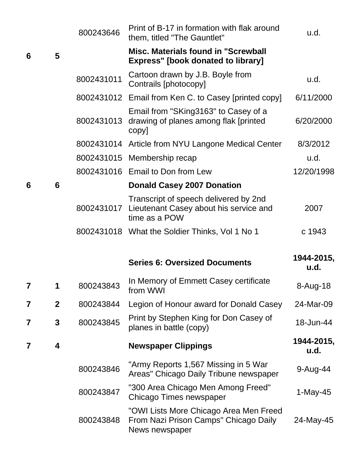|   |              | 800243646  | Print of B-17 in formation with flak around<br>them, titled "The Gauntlet"                        | u.d.               |
|---|--------------|------------|---------------------------------------------------------------------------------------------------|--------------------|
| 6 | 5            |            | Misc. Materials found in "Screwball<br><b>Express"</b> [book donated to library]                  |                    |
|   |              | 8002431011 | Cartoon drawn by J.B. Boyle from<br>Contrails [photocopy]                                         | u.d.               |
|   |              |            | 8002431012 Email from Ken C. to Casey [printed copy]                                              | 6/11/2000          |
|   |              | 8002431013 | Email from "SKing3163" to Casey of a<br>drawing of planes among flak [printed]<br>copy]           | 6/20/2000          |
|   |              | 8002431014 | Article from NYU Langone Medical Center                                                           | 8/3/2012           |
|   |              |            | 8002431015 Membership recap                                                                       | u.d.               |
|   |              |            | 8002431016 Email to Don from Lew                                                                  | 12/20/1998         |
| 6 | 6            |            | <b>Donald Casey 2007 Donation</b>                                                                 |                    |
|   |              | 8002431017 | Transcript of speech delivered by 2nd<br>Lieutenant Casey about his service and<br>time as a POW  | 2007               |
|   |              |            | 8002431018 What the Soldier Thinks, Vol 1 No 1                                                    | c 1943             |
|   |              |            | <b>Series 6: Oversized Documents</b>                                                              | 1944-2015,<br>u.d. |
| 7 | 1            | 800243843  | In Memory of Emmett Casey certificate<br>from WWI                                                 | 8-Aug-18           |
| 7 | $\mathbf{2}$ | 800243844  | Legion of Honour award for Donald Casey                                                           | 24-Mar-09          |
| 7 | 3            | 800243845  | Print by Stephen King for Don Casey of<br>planes in battle (copy)                                 | 18-Jun-44          |
| 7 | 4            |            | <b>Newspaper Clippings</b>                                                                        | 1944-2015,<br>u.d. |
|   |              | 800243846  | "Army Reports 1,567 Missing in 5 War<br>Areas" Chicago Daily Tribune newspaper                    | 9-Aug-44           |
|   |              | 800243847  | "300 Area Chicago Men Among Freed"<br>Chicago Times newspaper                                     | 1-May-45           |
|   |              | 800243848  | "OWI Lists More Chicago Area Men Freed<br>From Nazi Prison Camps" Chicago Daily<br>News newspaper | 24-May-45          |